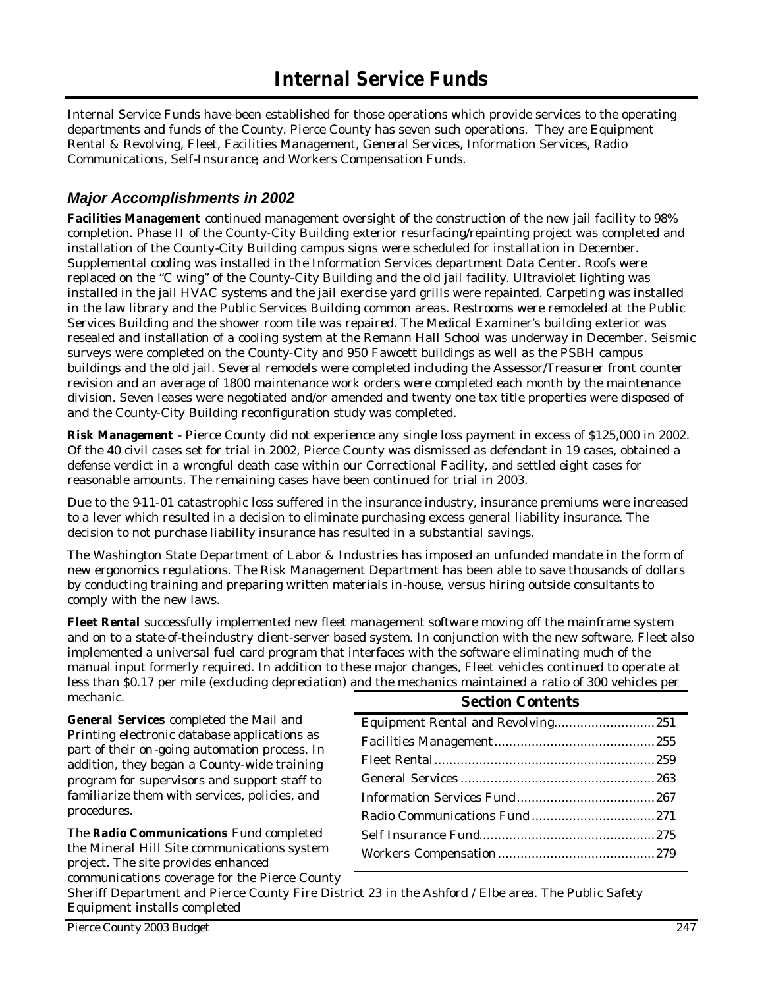Internal Service Funds have been established for those operations which provide services to the operating departments and funds of the County. Pierce County has seven such operations. They are Equipment Rental & Revolving, Fleet, Facilities Management, General Services, Information Services, Radio Communications, Self-Insurance, and Workers Compensation Funds.

### *Major Accomplishments in 2002*

**Facilities Management** continued management oversight of the construction of the new jail facility to 98% completion. Phase II of the County-City Building exterior resurfacing/repainting project was completed and installation of the County-City Building campus signs were scheduled for installation in December. Supplemental cooling was installed in the Information Services department Data Center. Roofs were replaced on the "C wing" of the County-City Building and the old jail facility. Ultraviolet lighting was installed in the jail HVAC systems and the jail exercise yard grills were repainted. Carpeting was installed in the law library and the Public Services Building common areas. Restrooms were remodeled at the Public Services Building and the shower room tile was repaired. The Medical Examiner's building exterior was resealed and installation of a cooling system at the Remann Hall School was underway in December. Seismic surveys were completed on the County-City and 950 Fawcett buildings as well as the PSBH campus buildings and the old jail. Several remodels were completed including the Assessor/Treasurer front counter revision and an average of 1800 maintenance work orders were completed each month by the maintenance division. Seven leases were negotiated and/or amended and twenty one tax title properties were disposed of and the County-City Building reconfiguration study was completed.

**Risk Management** - Pierce County did not experience any single loss payment in excess of \$125,000 in 2002. Of the 40 civil cases set for trial in 2002, Pierce County was dismissed as defendant in 19 cases, obtained a defense verdict in a wrongful death case within our Correctional Facility, and settled eight cases for reasonable amounts. The remaining cases have been continued for trial in 2003.

Due to the 9-11-01 catastrophic loss suffered in the insurance industry, insurance premiums were increased to a lever which resulted in a decision to eliminate purchasing excess general liability insurance. The decision to not purchase liability insurance has resulted in a substantial savings.

The Washington State Department of Labor & Industries has imposed an unfunded mandate in the form of new ergonomics regulations. The Risk Management Department has been able to save thousands of dollars by conducting training and preparing written materials in-house, versus hiring outside consultants to comply with the new laws.

**Fleet Rental** successfully implemented new fleet management software moving off the mainframe system and on to a state-of-the-industry client-server based system. In conjunction with the new software, Fleet also implemented a universal fuel card program that interfaces with the software eliminating much of the manual input formerly required. In addition to these major changes, Fleet vehicles continued to operate at less than \$0.17 per mile (excluding depreciation) and the mechanics maintained a ratio of 300 vehicles per mechanic.

**General Services** completed the Mail and Printing electronic database applications as part of their on-going automation process. In addition, they began a County-wide training program for supervisors and support staff to familiarize them with services, policies, and procedures.

The **Radio Communications** Fund completed the Mineral Hill Site communications system project. The site provides enhanced communications coverage for the Pierce County

| <b>Section Contents</b> |  |
|-------------------------|--|
|                         |  |
|                         |  |
|                         |  |
|                         |  |
|                         |  |
|                         |  |
|                         |  |
|                         |  |
|                         |  |

Sheriff Department and Pierce County Fire District 23 in the Ashford / Elbe area. The Public Safety Equipment installs completed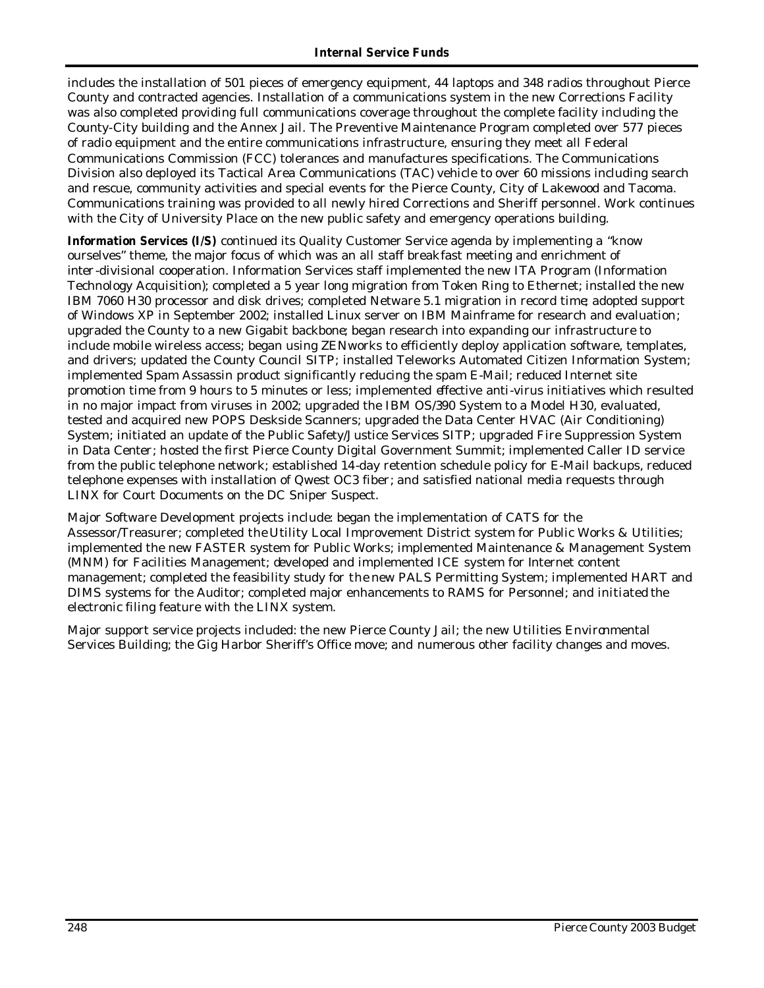includes the installation of 501 pieces of emergency equipment, 44 laptops and 348 radios throughout Pierce County and contracted agencies. Installation of a communications system in the new Corrections Facility was also completed providing full communications coverage throughout the complete facility including the County-City building and the Annex Jail. The Preventive Maintenance Program completed over 577 pieces of radio equipment and the entire communications infrastructure, ensuring they meet all Federal Communications Commission (FCC) tolerances and manufactures specifications. The Communications Division also deployed its Tactical Area Communications (TAC) vehicle to over 60 missions including search and rescue, community activities and special events for the Pierce County, City of Lakewood and Tacoma. Communications training was provided to all newly hired Corrections and Sheriff personnel. Work continues with the City of University Place on the new public safety and emergency operations building.

**Information Services (I/S)** continued its Quality Customer Service agenda by implementing a "know ourselves" theme, the major focus of which was an all staff breakfast meeting and enrichment of inter -divisional cooperation. Information Services staff implemented the new ITA Program (Information Technology Acquisition); completed a 5 year long migration from Token Ring to Ethernet; installed the new IBM 7060 H30 processor and disk drives; completed Netware 5.1 migration in record time; adopted support of Windows XP in September 2002; installed Linux server on IBM Mainframe for research and evaluation; upgraded the County to a new Gigabit backbone; began research into expanding our infrastructure to include mobile wireless access; began using ZENworks to efficiently deploy application software, templates, and drivers; updated the County Council SITP; installed Teleworks Automated Citizen Information System; implemented Spam Assassin product significantly reducing the spam E-Mail; reduced Internet site promotion time from 9 hours to 5 minutes or less; implemented effective anti-virus initiatives which resulted in no major impact from viruses in 2002; upgraded the IBM OS/390 System to a Model H30, evaluated, tested and acquired new POPS Deskside Scanners; upgraded the Data Center HVAC (Air Conditioning) System; initiated an update of the Public Safety/Justice Services SITP; upgraded Fire Suppression System in Data Center; hosted the first Pierce County Digital Government Summit; implemented Caller ID service from the public telephone network; established 14-day retention schedule policy for E-Mail backups, reduced telephone expenses with installation of Qwest OC3 fiber; and satisfied national media requests through LINX for Court Documents on the DC Sniper Suspect.

Major Software Development projects include: began the implementation of CATS for the Assessor/Treasurer; completed the Utility Local Improvement District system for Public Works & Utilities; implemented the new FASTER system for Public Works; implemented Maintenance & Management System (MNM) for Facilities Management; developed and implemented ICE system for Internet content management; completed the feasibility study for the new PALS Permitting System; implemented HART and DIMS systems for the Auditor; completed major enhancements to RAMS for Personnel; and initiated the electronic filing feature with the LINX system.

Major support service projects included: the new Pierce County Jail; the new Utilities Environmental Services Building; the Gig Harbor Sheriff's Office move; and numerous other facility changes and moves.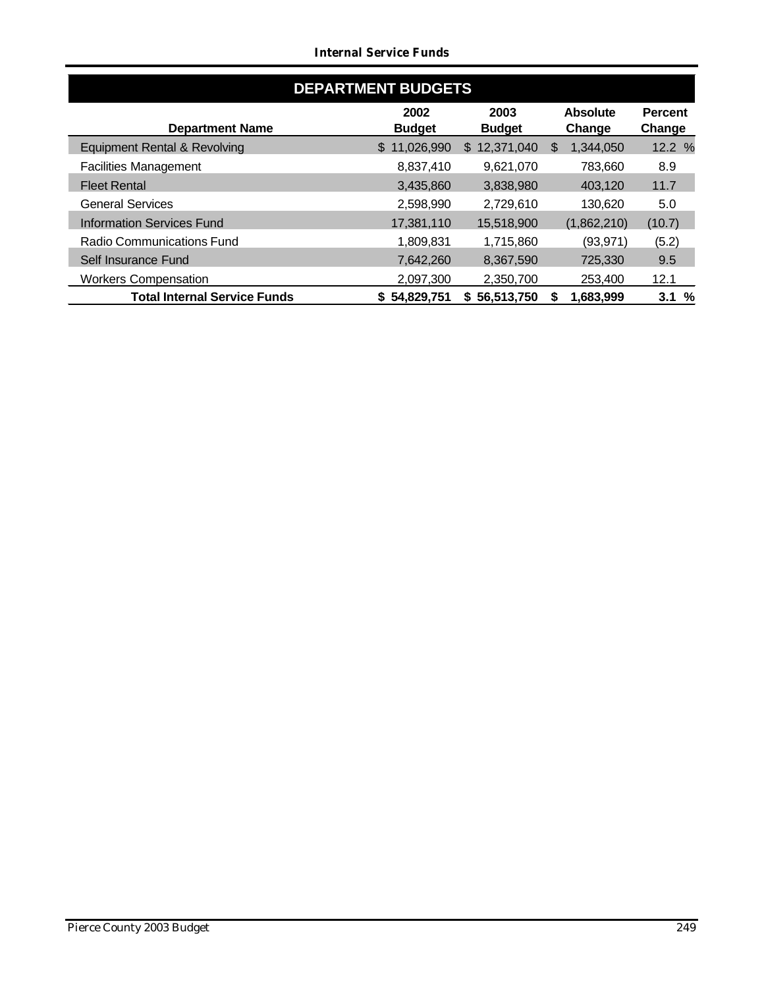#### *Internal Service Funds*

| <b>DEPARTMENT BUDGETS</b>           |                       |                       |                           |                          |
|-------------------------------------|-----------------------|-----------------------|---------------------------|--------------------------|
| <b>Department Name</b>              | 2002<br><b>Budget</b> | 2003<br><b>Budget</b> | <b>Absolute</b><br>Change | <b>Percent</b><br>Change |
| Equipment Rental & Revolving        | 11,026,990<br>\$      | 12,371,040<br>\$      | 1,344,050<br>\$           | 12.2 %                   |
| <b>Facilities Management</b>        | 8,837,410             | 9,621,070             | 783,660                   | 8.9                      |
| <b>Fleet Rental</b>                 | 3,435,860             | 3,838,980             | 403,120                   | 11.7                     |
| <b>General Services</b>             | 2,598,990             | 2,729,610             | 130,620                   | 5.0                      |
| <b>Information Services Fund</b>    | 17,381,110            | 15,518,900            | (1,862,210)               | (10.7)                   |
| <b>Radio Communications Fund</b>    | 1,809,831             | 1,715,860             | (93, 971)                 | (5.2)                    |
| Self Insurance Fund                 | 7,642,260             | 8,367,590             | 725,330                   | 9.5                      |
| <b>Workers Compensation</b>         | 2,097,300             | 2,350,700             | 253,400                   | 12.1                     |
| <b>Total Internal Service Funds</b> | \$54,829,751          | \$56,513,750          | 1,683,999<br>S            | %<br>3.1                 |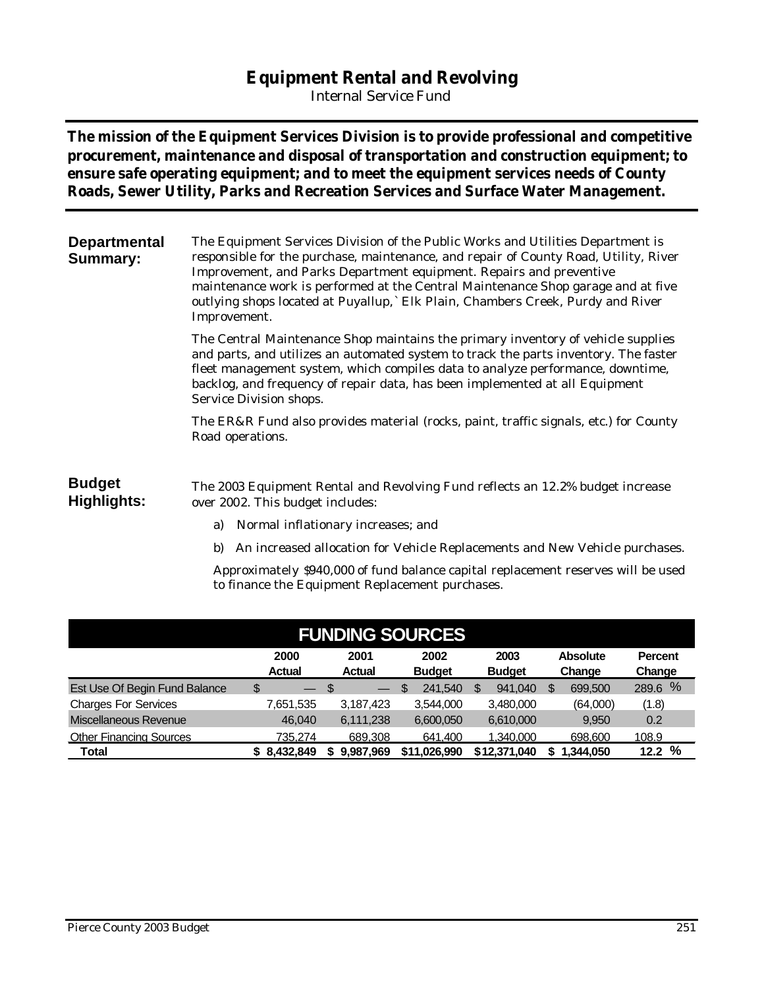## **Equipment Rental and Revolving**

*Internal Service Fund*

**The mission of the Equipment Services Division is to provide professional and competitive procurement, maintenance and disposal of transportation and construction equipment; to ensure safe operating equipment; and to meet the equipment services needs of County Roads, Sewer Utility, Parks and Recreation Services and Surface Water Management.** 

| <b>Departmental</b><br><b>Summary:</b> | The Equipment Services Division of the Public Works and Utilities Department is<br>responsible for the purchase, maintenance, and repair of County Road, Utility, River<br>Improvement, and Parks Department equipment. Repairs and preventive<br>maintenance work is performed at the Central Maintenance Shop garage and at five<br>outlying shops located at Puyallup,` Elk Plain, Chambers Creek, Purdy and River<br>Improvement. |
|----------------------------------------|---------------------------------------------------------------------------------------------------------------------------------------------------------------------------------------------------------------------------------------------------------------------------------------------------------------------------------------------------------------------------------------------------------------------------------------|
|                                        | The Central Maintenance Shop maintains the primary inventory of vehicle supplies<br>and parts, and utilizes an automated system to track the parts inventory. The faster<br>fleet management system, which compiles data to analyze performance, downtime,<br>backlog, and frequency of repair data, has been implemented at all Equipment<br>Service Division shops.                                                                 |
|                                        | The ER&R Fund also provides material (rocks, paint, traffic signals, etc.) for County<br>Road operations.                                                                                                                                                                                                                                                                                                                             |
| <b>Budget</b><br>Highlights:           | The 2003 Equipment Rental and Revolving Fund reflects an 12.2% budget increase<br>over 2002. This budget includes:                                                                                                                                                                                                                                                                                                                    |
|                                        | Normal inflationary increases; and<br>a)                                                                                                                                                                                                                                                                                                                                                                                              |
|                                        | An increased allocation for Vehicle Replacements and New Vehicle purchases.<br>b)                                                                                                                                                                                                                                                                                                                                                     |
|                                        | Approximately \$940,000 of fund balance capital replacement reserves will be used<br>to finance the Equipment Replacement purchases.                                                                                                                                                                                                                                                                                                  |

| <b>FUNDING SOURCES</b>         |               |                          |               |               |                 |                |
|--------------------------------|---------------|--------------------------|---------------|---------------|-----------------|----------------|
|                                | 2000          | 2001                     | 2002          | 2003          | <b>Absolute</b> | <b>Percent</b> |
|                                | <b>Actual</b> | <b>Actual</b>            | <b>Budget</b> | <b>Budget</b> | Change          | Change         |
| Est Use Of Begin Fund Balance  | \$<br>$-$ \$  | $\overline{\phantom{0}}$ | 241.540<br>\$ | 941.040       | 699,500<br>S    | %<br>289.6     |
| <b>Charges For Services</b>    | 7,651,535     | 3,187,423                | 3,544,000     | 3,480,000     | (64,000)        | (1.8)          |
| <b>Miscellaneous Revenue</b>   | 46,040        | 6,111,238                | 6,600,050     | 6,610,000     | 9.950           | 0.2            |
| <b>Other Financing Sources</b> | 735.274       | 689.308                  | 641.400       | 1.340.000     | 698,600         | 108.9          |
| Total                          | \$8,432,849   | 9,987,969                | \$11.026.990  | \$12,371,040  | 1,344,050       | %<br>12.2      |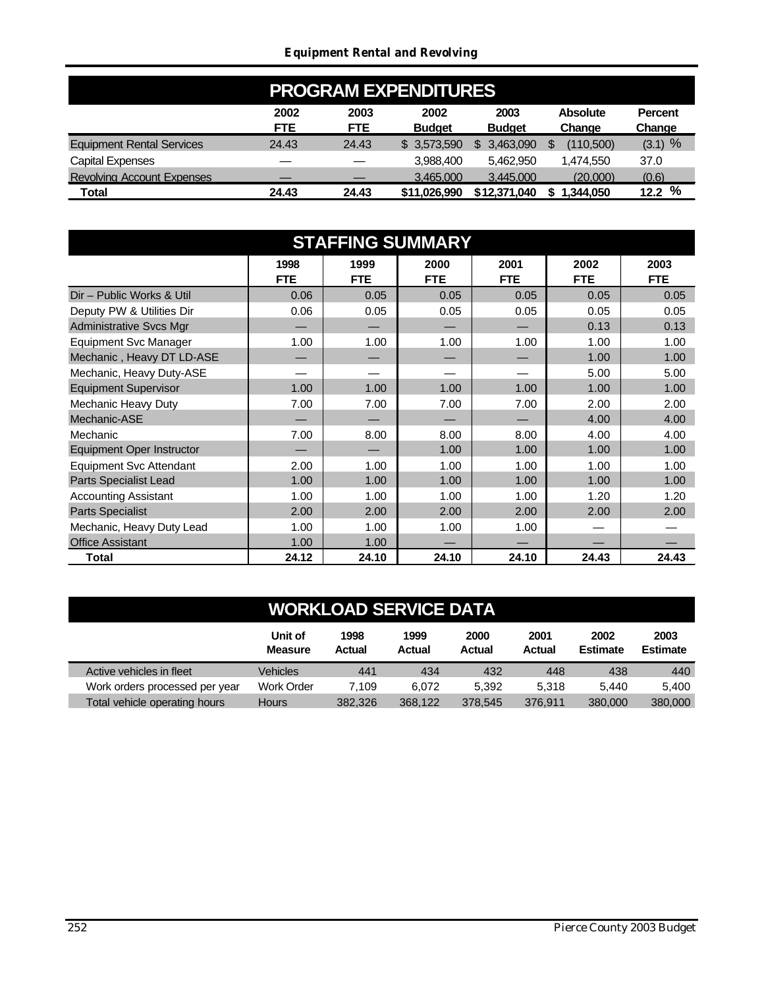|                                   |                    |                    | <b>PROGRAM EXPENDITURES</b> |                       |                           |                          |
|-----------------------------------|--------------------|--------------------|-----------------------------|-----------------------|---------------------------|--------------------------|
|                                   | 2002<br><b>FTE</b> | 2003<br><b>FTE</b> | 2002<br><b>Budget</b>       | 2003<br><b>Budget</b> | <b>Absolute</b><br>Change | <b>Percent</b><br>Change |
| <b>Equipment Rental Services</b>  | 24.43              | 24.43              | \$ 3.573,590                | 3.463.090             | (110,500)                 | $(3.1)$ %                |
| <b>Capital Expenses</b>           |                    |                    | 3.988.400                   | 5.462.950             | 1,474,550                 | 37.0                     |
| <b>Revolving Account Expenses</b> |                    |                    | 3.465,000                   | 3.445.000             | (20.000)                  | (0.6)                    |
| Total                             | 24.43              | 24.43              | \$11.026.990                | \$12,371,040          | 1.344.050                 | 12.2%                    |

| <b>STAFFING SUMMARY</b>          |                    |                    |                    |                    |                    |                    |
|----------------------------------|--------------------|--------------------|--------------------|--------------------|--------------------|--------------------|
|                                  | 1998<br><b>FTE</b> | 1999<br><b>FTE</b> | 2000<br><b>FTE</b> | 2001<br><b>FTE</b> | 2002<br><b>FTE</b> | 2003<br><b>FTE</b> |
| Dir - Public Works & Util        | 0.06               | 0.05               | 0.05               | 0.05               | 0.05               | 0.05               |
| Deputy PW & Utilities Dir        | 0.06               | 0.05               | 0.05               | 0.05               | 0.05               | 0.05               |
| <b>Administrative Svcs Mgr</b>   |                    |                    |                    |                    | 0.13               | 0.13               |
| <b>Equipment Svc Manager</b>     | 1.00               | 1.00               | 1.00               | 1.00               | 1.00               | 1.00               |
| Mechanic, Heavy DT LD-ASE        |                    |                    |                    |                    | 1.00               | 1.00               |
| Mechanic, Heavy Duty-ASE         |                    |                    |                    |                    | 5.00               | 5.00               |
| <b>Equipment Supervisor</b>      | 1.00               | 1.00               | 1.00               | 1.00               | 1.00               | 1.00               |
| Mechanic Heavy Duty              | 7.00               | 7.00               | 7.00               | 7.00               | 2.00               | 2.00               |
| Mechanic-ASE                     |                    |                    |                    |                    | 4.00               | 4.00               |
| Mechanic                         | 7.00               | 8.00               | 8.00               | 8.00               | 4.00               | 4.00               |
| <b>Equipment Oper Instructor</b> |                    |                    | 1.00               | 1.00               | 1.00               | 1.00               |
| <b>Equipment Svc Attendant</b>   | 2.00               | 1.00               | 1.00               | 1.00               | 1.00               | 1.00               |
| Parts Specialist Lead            | 1.00               | 1.00               | 1.00               | 1.00               | 1.00               | 1.00               |
| <b>Accounting Assistant</b>      | 1.00               | 1.00               | 1.00               | 1.00               | 1.20               | 1.20               |
| <b>Parts Specialist</b>          | 2.00               | 2.00               | 2.00               | 2.00               | 2.00               | 2.00               |
| Mechanic, Heavy Duty Lead        | 1.00               | 1.00               | 1.00               | 1.00               |                    |                    |
| <b>Office Assistant</b>          | 1.00               | 1.00               |                    |                    |                    |                    |
| Total                            | 24.12              | 24.10              | 24.10              | 24.10              | 24.43              | 24.43              |

|                                | Unit of<br><b>Measure</b> | 1998<br>Actual | 1999<br>Actual | 2000<br>Actual | 2001<br>Actual | 2002<br><b>Estimate</b> | 2003<br><b>Estimate</b> |
|--------------------------------|---------------------------|----------------|----------------|----------------|----------------|-------------------------|-------------------------|
| Active vehicles in fleet       | Vehicles                  | 441            | 434            | 432            | 448            | 438                     | 440                     |
| Work orders processed per year | <b>Work Order</b>         | 7.109          | 6.072          | 5.392          | 5.318          | 5.440                   | 5.400                   |
| Total vehicle operating hours  | <b>Hours</b>              | 382.326        | 368.122        | 378.545        | 376.911        | 380,000                 | 380,000                 |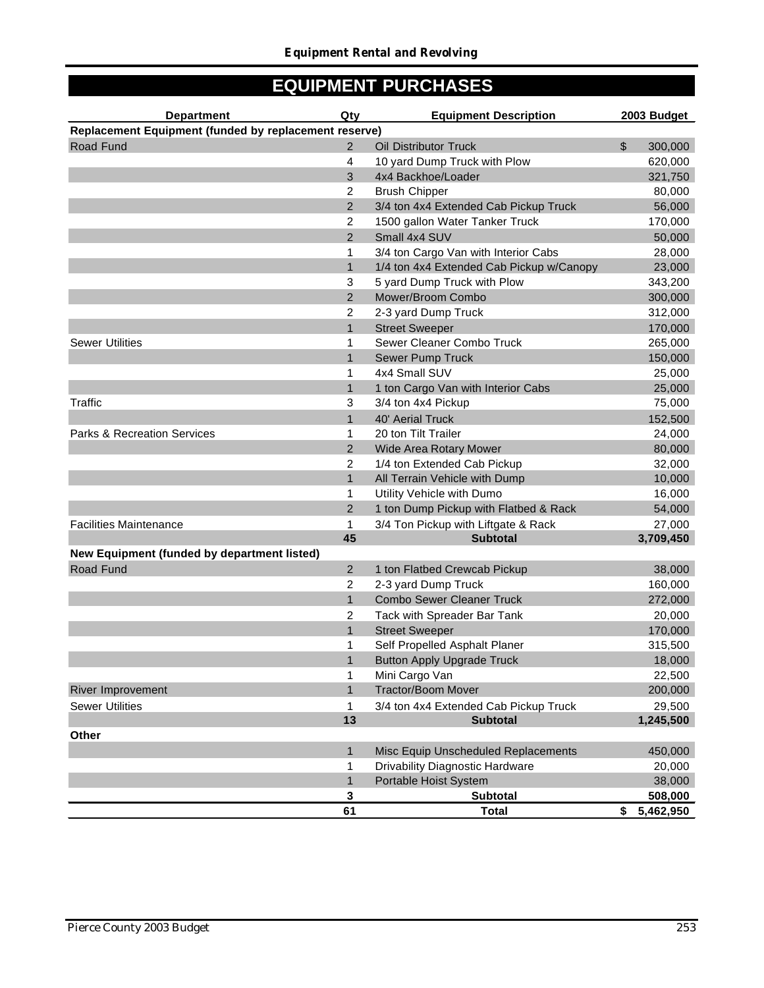## **EQUIPMENT PURCHASES**

| <b>Department</b>                                     | Qty            | <b>Equipment Description</b>             |                | 2003 Budget |
|-------------------------------------------------------|----------------|------------------------------------------|----------------|-------------|
| Replacement Equipment (funded by replacement reserve) |                |                                          |                |             |
| Road Fund                                             | $\overline{2}$ | <b>Oil Distributor Truck</b>             | $\mathfrak{S}$ | 300,000     |
|                                                       | $\overline{4}$ | 10 yard Dump Truck with Plow             |                | 620,000     |
|                                                       | 3              | 4x4 Backhoe/Loader                       |                | 321,750     |
|                                                       | 2              | <b>Brush Chipper</b>                     |                | 80,000      |
|                                                       | $\overline{2}$ | 3/4 ton 4x4 Extended Cab Pickup Truck    |                | 56,000      |
|                                                       | 2              | 1500 gallon Water Tanker Truck           |                | 170,000     |
|                                                       | 2              | Small 4x4 SUV                            |                | 50,000      |
|                                                       | 1              | 3/4 ton Cargo Van with Interior Cabs     |                | 28,000      |
|                                                       | $\mathbf{1}$   | 1/4 ton 4x4 Extended Cab Pickup w/Canopy |                | 23,000      |
|                                                       | 3              | 5 yard Dump Truck with Plow              |                | 343,200     |
|                                                       | $\overline{2}$ | Mower/Broom Combo                        |                | 300,000     |
|                                                       | 2              | 2-3 yard Dump Truck                      |                | 312,000     |
|                                                       | $\overline{1}$ | <b>Street Sweeper</b>                    |                | 170,000     |
| <b>Sewer Utilities</b>                                | 1              | Sewer Cleaner Combo Truck                |                | 265,000     |
|                                                       | $\overline{1}$ | <b>Sewer Pump Truck</b>                  |                | 150,000     |
|                                                       | 1              | 4x4 Small SUV                            |                | 25,000      |
|                                                       | $\mathbf{1}$   | 1 ton Cargo Van with Interior Cabs       |                | 25,000      |
| Traffic                                               | 3              | 3/4 ton 4x4 Pickup                       |                | 75,000      |
|                                                       | $\mathbf{1}$   | 40' Aerial Truck                         |                | 152,500     |
| <b>Parks &amp; Recreation Services</b>                | 1              | 20 ton Tilt Trailer                      |                | 24,000      |
|                                                       | $\overline{2}$ | Wide Area Rotary Mower                   |                | 80,000      |
|                                                       | $\overline{2}$ | 1/4 ton Extended Cab Pickup              |                | 32,000      |
|                                                       | $\mathbf{1}$   | All Terrain Vehicle with Dump            |                | 10,000      |
|                                                       | 1              | Utility Vehicle with Dumo                |                | 16,000      |
|                                                       | $\overline{2}$ | 1 ton Dump Pickup with Flatbed & Rack    |                | 54,000      |
| <b>Facilities Maintenance</b>                         | 1              | 3/4 Ton Pickup with Liftgate & Rack      |                | 27,000      |
|                                                       | 45             | <b>Subtotal</b>                          |                | 3,709,450   |
| New Equipment (funded by department listed)           |                |                                          |                |             |
| Road Fund                                             | 2              | 1 ton Flatbed Crewcab Pickup             |                | 38,000      |
|                                                       | 2              | 2-3 yard Dump Truck                      |                | 160,000     |
|                                                       | $\mathbf{1}$   | <b>Combo Sewer Cleaner Truck</b>         |                | 272,000     |
|                                                       | 2              | Tack with Spreader Bar Tank              |                | 20,000      |
|                                                       | $\mathbf{1}$   | <b>Street Sweeper</b>                    |                | 170,000     |
|                                                       | 1              | Self Propelled Asphalt Planer            |                | 315,500     |
|                                                       | $\overline{1}$ | <b>Button Apply Upgrade Truck</b>        |                | 18,000      |
|                                                       | 1              | Mini Cargo Van                           |                | 22,500      |
| <b>River Improvement</b>                              | $\mathbf{1}$   | <b>Tractor/Boom Mover</b>                |                | 200,000     |
| <b>Sewer Utilities</b>                                | 1              | 3/4 ton 4x4 Extended Cab Pickup Truck    |                | 29,500      |
|                                                       | 13             | <b>Subtotal</b>                          |                | 1,245,500   |
| Other                                                 |                |                                          |                |             |
|                                                       | $\mathbf{1}$   | Misc Equip Unscheduled Replacements      |                | 450,000     |
|                                                       | 1              | Drivability Diagnostic Hardware          |                | 20,000      |
|                                                       | 1              | Portable Hoist System                    |                | 38,000      |
|                                                       | 3              | <b>Subtotal</b>                          |                | 508,000     |
|                                                       | 61             | <b>Total</b>                             | \$             | 5,462,950   |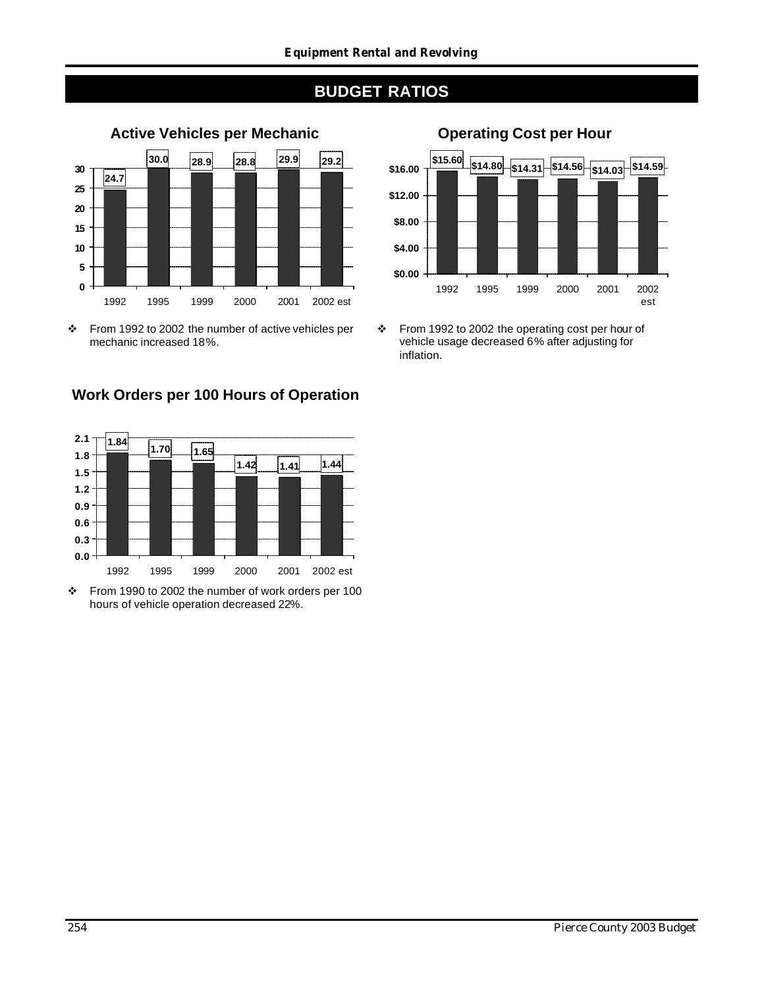

### **Work Orders per 100 Hours of Operation**



v From 1990 to 2002 the number of work orders per 100 hours of vehicle operation decreased 22%.



v From 1992 to 2002 the operating cost per hour of vehicle usage decreased 6% after adjusting for inflation.

v From 1992 to 2002 the number of active vehicles per mechanic increased 18%.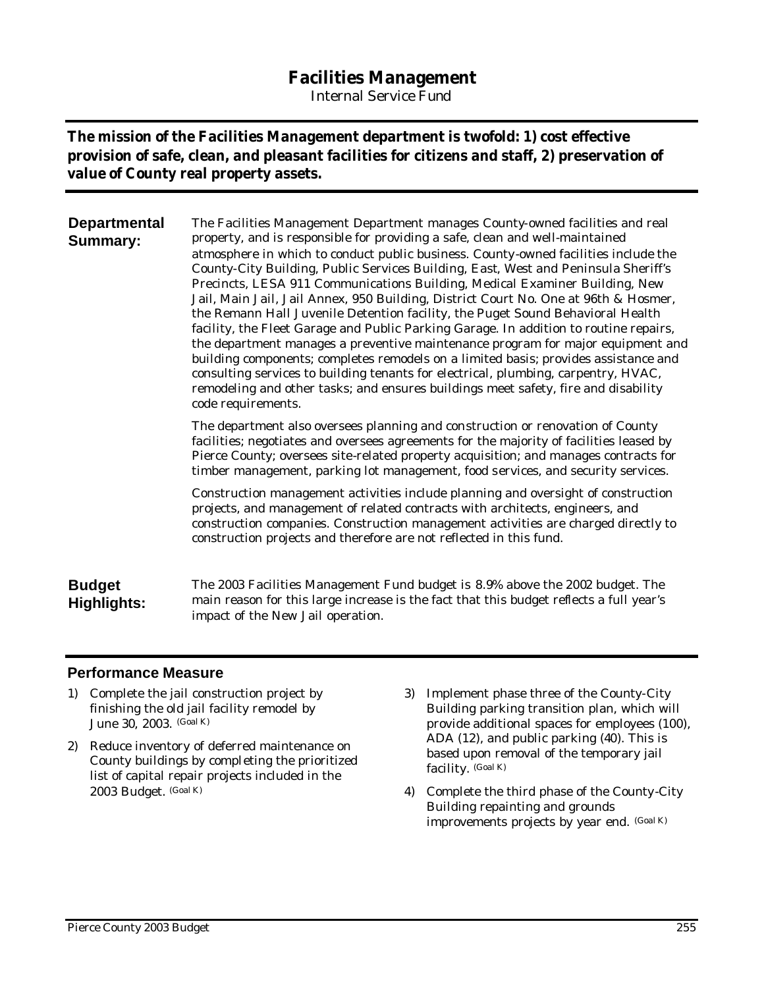## **Facilities Management**

*Internal Service Fund*

### **The mission of the Facilities Management department is twofold: 1) cost effective provision of safe, clean, and pleasant facilities for citizens and staff, 2) preservation of value of County real property assets.**

| <b>Departmental</b><br><b>Summary:</b> | The Facilities Management Department manages County-owned facilities and real<br>property, and is responsible for providing a safe, clean and well-maintained<br>atmosphere in which to conduct public business. County-owned facilities include the<br>County-City Building, Public Services Building, East, West and Peninsula Sheriff's<br>Precincts, LESA 911 Communications Building, Medical Examiner Building, New<br>Jail, Main Jail, Jail Annex, 950 Building, District Court No. One at 96th & Hosmer,<br>the Remann Hall Juvenile Detention facility, the Puget Sound Behavioral Health<br>facility, the Fleet Garage and Public Parking Garage. In addition to routine repairs,<br>the department manages a preventive maintenance program for major equipment and<br>building components; completes remodels on a limited basis; provides assistance and<br>consulting services to building tenants for electrical, plumbing, carpentry, HVAC,<br>remodeling and other tasks; and ensures buildings meet safety, fire and disability<br>code requirements. |
|----------------------------------------|-------------------------------------------------------------------------------------------------------------------------------------------------------------------------------------------------------------------------------------------------------------------------------------------------------------------------------------------------------------------------------------------------------------------------------------------------------------------------------------------------------------------------------------------------------------------------------------------------------------------------------------------------------------------------------------------------------------------------------------------------------------------------------------------------------------------------------------------------------------------------------------------------------------------------------------------------------------------------------------------------------------------------------------------------------------------------|
|                                        | The department also oversees planning and construction or renovation of County<br>facilities; negotiates and oversees agreements for the majority of facilities leased by<br>Pierce County; oversees site-related property acquisition; and manages contracts for                                                                                                                                                                                                                                                                                                                                                                                                                                                                                                                                                                                                                                                                                                                                                                                                       |

Construction management activities include planning and oversight of construction projects, and management of related contracts with architects, engineers, and construction companies. Construction management activities are charged directly to construction projects and therefore are not reflected in this fund.

timber management, parking lot management, food services, and security services.

#### **Budget Highlights:** The 2003 Facilities Management Fund budget is 8.9% above the 2002 budget. The main reason for this large increase is the fact that this budget reflects a full year's impact of the New Jail operation.

#### **Performance Measure**

- 1) Complete the jail construction project by finishing the old jail facility remodel by June 30, 2003. (Goal K)
- 2) Reduce inventory of deferred maintenance on County buildings by completing the prioritized list of capital repair projects included in the 2003 Budget. (Goal K)
- 3) Implement phase three of the County-City Building parking transition plan, which will provide additional spaces for employees (100), ADA (12), and public parking (40). This is based upon removal of the temporary jail facility. (Goal K)
- 4) Complete the third phase of the County-City Building repainting and grounds improvements projects by year end. (Goal K)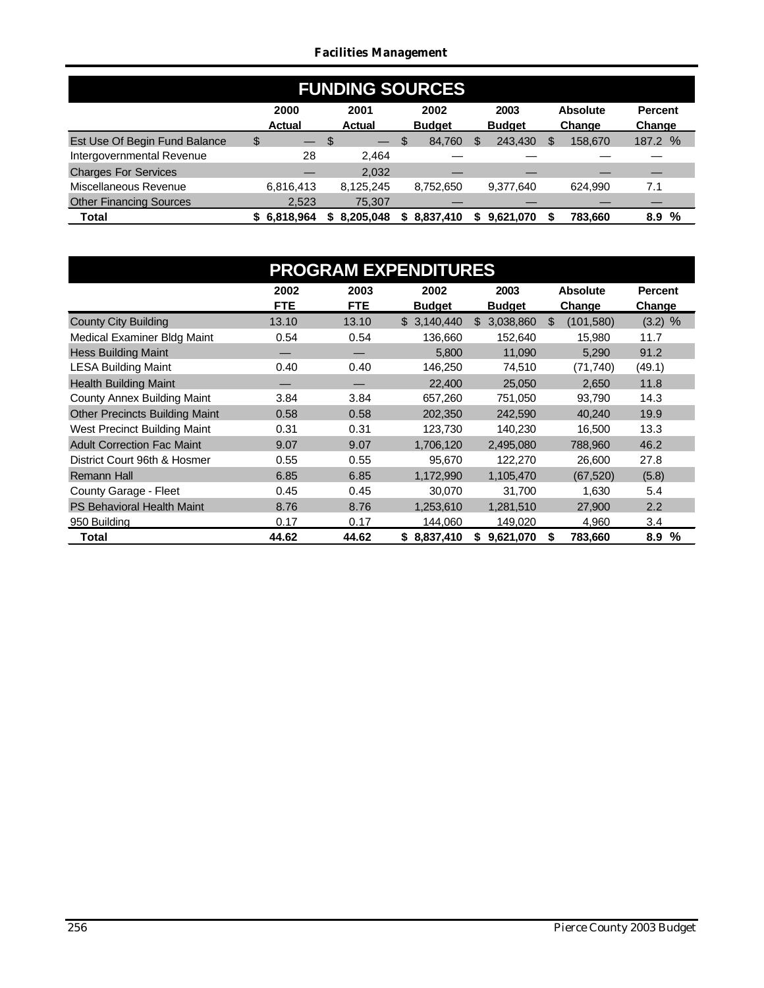#### *Facilities Management*

| <b>FUNDING SOURCES</b>         |                       |                          |                       |                       |                           |                          |
|--------------------------------|-----------------------|--------------------------|-----------------------|-----------------------|---------------------------|--------------------------|
|                                | 2000<br><b>Actual</b> | 2001<br><b>Actual</b>    | 2002<br><b>Budget</b> | 2003<br><b>Budget</b> | <b>Absolute</b><br>Change | <b>Percent</b><br>Change |
| Est Use Of Begin Fund Balance  | \$<br>— \$            | $\overline{\phantom{0}}$ | 84,760<br>- \$        | 243.430               | 158,670<br>S.             | 187.2 %                  |
| Intergovernmental Revenue      | 28                    | 2.464                    |                       |                       |                           |                          |
| <b>Charges For Services</b>    |                       | 2,032                    |                       |                       |                           |                          |
| Miscellaneous Revenue          | 6,816,413             | 8,125,245                | 8,752,650             | 9,377,640             | 624.990                   | 7.1                      |
| <b>Other Financing Sources</b> | 2.523                 | 75,307                   |                       |                       |                           |                          |
| <b>Total</b>                   | 6,818,964<br>S.       | 8,205,048                | \$8,837,410           | 9.621.070             | 783.660                   | %<br>8.9                 |

|                                       |            |            | <b>PROGRAM EXPENDITURES</b> |                 |                   |                |
|---------------------------------------|------------|------------|-----------------------------|-----------------|-------------------|----------------|
|                                       | 2002       | 2003       | 2002                        | 2003            | <b>Absolute</b>   | <b>Percent</b> |
|                                       | <b>FTE</b> | <b>FTE</b> | <b>Budget</b>               | <b>Budget</b>   | Change            | Change         |
| <b>County City Building</b>           | 13.10      | 13.10      | \$3,140,440                 | 3,038,860<br>\$ | \$.<br>(101, 580) | $(3.2)$ %      |
| Medical Examiner Bldg Maint           | 0.54       | 0.54       | 136,660                     | 152,640         | 15,980            | 11.7           |
| <b>Hess Building Maint</b>            |            |            | 5,800                       | 11,090          | 5,290             | 91.2           |
| <b>LESA Building Maint</b>            | 0.40       | 0.40       | 146,250                     | 74,510          | (71, 740)         | (49.1)         |
| <b>Health Building Maint</b>          |            |            | 22,400                      | 25,050          | 2.650             | 11.8           |
| County Annex Building Maint           | 3.84       | 3.84       | 657,260                     | 751,050         | 93,790            | 14.3           |
| <b>Other Precincts Building Maint</b> | 0.58       | 0.58       | 202,350                     | 242,590         | 40,240            | 19.9           |
| West Precinct Building Maint          | 0.31       | 0.31       | 123,730                     | 140,230         | 16,500            | 13.3           |
| <b>Adult Correction Fac Maint</b>     | 9.07       | 9.07       | 1,706,120                   | 2,495,080       | 788,960           | 46.2           |
| District Court 96th & Hosmer          | 0.55       | 0.55       | 95,670                      | 122,270         | 26,600            | 27.8           |
| <b>Remann Hall</b>                    | 6.85       | 6.85       | 1,172,990                   | 1,105,470       | (67, 520)         | (5.8)          |
| County Garage - Fleet                 | 0.45       | 0.45       | 30,070                      | 31,700          | 1,630             | 5.4            |
| <b>PS Behavioral Health Maint</b>     | 8.76       | 8.76       | 1,253,610                   | 1,281,510       | 27,900            | 2.2            |
| 950 Building                          | 0.17       | 0.17       | 144,060                     | 149,020         | 4,960             | 3.4            |
| Total                                 | 44.62      | 44.62      | \$8,837,410                 | 9,621,070<br>S. | 783,660           | %<br>8.9       |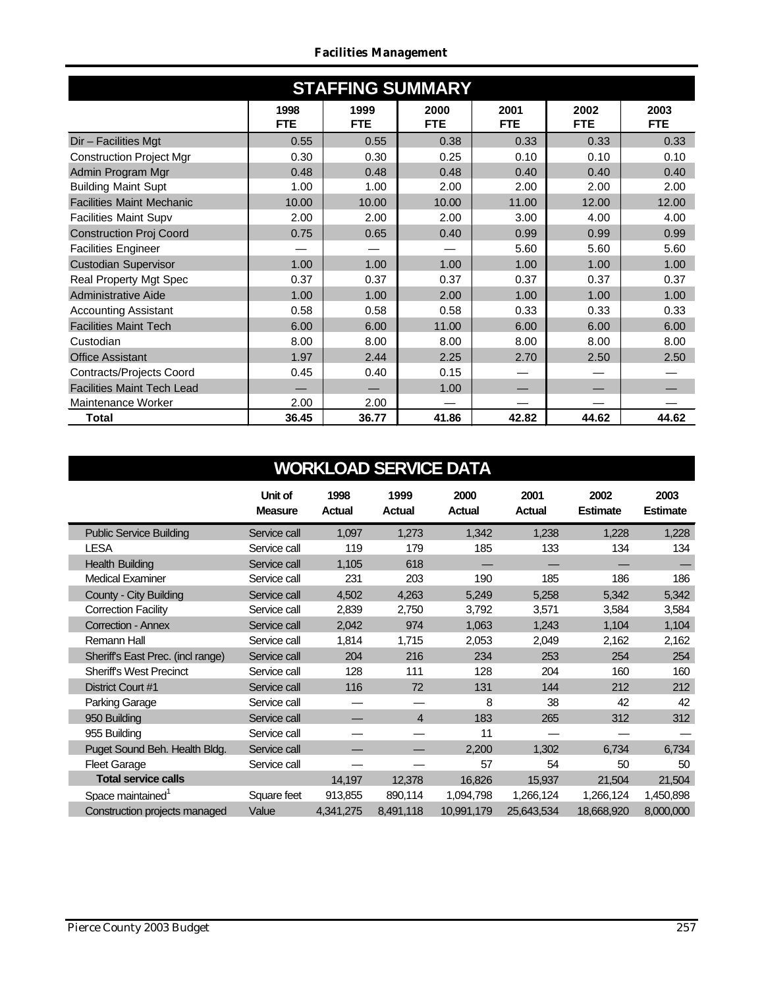|  | <b>Facilities Management</b> |
|--|------------------------------|
|--|------------------------------|

| <b>STAFFING SUMMARY</b>           |                    |                    |                    |                    |                    |                    |  |  |  |  |  |  |
|-----------------------------------|--------------------|--------------------|--------------------|--------------------|--------------------|--------------------|--|--|--|--|--|--|
|                                   | 1998<br><b>FTE</b> | 1999<br><b>FTE</b> | 2000<br><b>FTE</b> | 2001<br><b>FTE</b> | 2002<br><b>FTE</b> | 2003<br><b>FTE</b> |  |  |  |  |  |  |
| Dir - Facilities Mgt              | 0.55               | 0.55               | 0.38               | 0.33               | 0.33               | 0.33               |  |  |  |  |  |  |
| <b>Construction Project Mgr</b>   | 0.30               | 0.30               | 0.25               | 0.10               | 0.10               | 0.10               |  |  |  |  |  |  |
| Admin Program Mgr                 | 0.48               | 0.48               | 0.48               | 0.40               | 0.40               | 0.40               |  |  |  |  |  |  |
| <b>Building Maint Supt</b>        | 1.00               | 1.00               | 2.00               | 2.00               | 2.00               | 2.00               |  |  |  |  |  |  |
| <b>Facilities Maint Mechanic</b>  | 10.00              | 10.00              | 10.00              | 11.00              | 12.00              | 12.00              |  |  |  |  |  |  |
| <b>Facilities Maint Supv</b>      | 2.00               | 2.00               | 2.00               | 3.00               | 4.00               | 4.00               |  |  |  |  |  |  |
| <b>Construction Proj Coord</b>    | 0.75               | 0.65               | 0.40               | 0.99               | 0.99               | 0.99               |  |  |  |  |  |  |
| <b>Facilities Engineer</b>        |                    |                    |                    | 5.60               | 5.60               | 5.60               |  |  |  |  |  |  |
| <b>Custodian Supervisor</b>       | 1.00               | 1.00               | 1.00               | 1.00               | 1.00               | 1.00               |  |  |  |  |  |  |
| Real Property Mgt Spec            | 0.37               | 0.37               | 0.37               | 0.37               | 0.37               | 0.37               |  |  |  |  |  |  |
| Administrative Aide               | 1.00               | 1.00               | 2.00               | 1.00               | 1.00               | 1.00               |  |  |  |  |  |  |
| <b>Accounting Assistant</b>       | 0.58               | 0.58               | 0.58               | 0.33               | 0.33               | 0.33               |  |  |  |  |  |  |
| <b>Facilities Maint Tech</b>      | 6.00               | 6.00               | 11.00              | 6.00               | 6.00               | 6.00               |  |  |  |  |  |  |
| Custodian                         | 8.00               | 8.00               | 8.00               | 8.00               | 8.00               | 8.00               |  |  |  |  |  |  |
| <b>Office Assistant</b>           | 1.97               | 2.44               | 2.25               | 2.70               | 2.50               | 2.50               |  |  |  |  |  |  |
| Contracts/Projects Coord          | 0.45               | 0.40               | 0.15               |                    |                    |                    |  |  |  |  |  |  |
| <b>Facilities Maint Tech Lead</b> |                    |                    | 1.00               |                    |                    |                    |  |  |  |  |  |  |
| Maintenance Worker                | 2.00               | 2.00               |                    |                    |                    |                    |  |  |  |  |  |  |
| Total                             | 36.45              | 36.77              | 41.86              | 42.82              | 44.62              | 44.62              |  |  |  |  |  |  |

|                                   | Unit of<br><b>Measure</b> | 1998<br><b>Actual</b> | 1999<br><b>Actual</b> | 2000<br><b>Actual</b> | 2001<br>Actual | 2002<br><b>Estimate</b> | 2003<br><b>Estimate</b> |
|-----------------------------------|---------------------------|-----------------------|-----------------------|-----------------------|----------------|-------------------------|-------------------------|
| <b>Public Service Building</b>    | Service call              | 1,097                 | 1,273                 | 1,342                 | 1,238          | 1,228                   | 1,228                   |
| <b>LESA</b>                       | Service call              | 119                   | 179                   | 185                   | 133            | 134                     | 134                     |
| <b>Health Building</b>            | Service call              | 1,105                 | 618                   |                       |                |                         |                         |
| <b>Medical Examiner</b>           | Service call              | 231                   | 203                   | 190                   | 185            | 186                     | 186                     |
| County - City Building            | Service call              | 4,502                 | 4,263                 | 5,249                 | 5,258          | 5,342                   | 5,342                   |
| <b>Correction Facility</b>        | Service call              | 2,839                 | 2,750                 | 3,792                 | 3,571          | 3,584                   | 3,584                   |
| <b>Correction - Annex</b>         | Service call              | 2,042                 | 974                   | 1,063                 | 1,243          | 1,104                   | 1,104                   |
| Remann Hall                       | Service call              | 1,814                 | 1,715                 | 2,053                 | 2,049          | 2,162                   | 2,162                   |
| Sheriff's East Prec. (incl range) | Service call              | 204                   | 216                   | 234                   | 253            | 254                     | 254                     |
| <b>Sheriff's West Precinct</b>    | Service call              | 128                   | 111                   | 128                   | 204            | 160                     | 160                     |
| District Court #1                 | Service call              | 116                   | 72                    | 131                   | 144            | 212                     | 212                     |
| Parking Garage                    | Service call              |                       |                       | 8                     | 38             | 42                      | 42                      |
| 950 Building                      | Service call              |                       | 4                     | 183                   | 265            | 312                     | 312                     |
| 955 Building                      | Service call              |                       |                       | 11                    |                |                         |                         |
| Puget Sound Beh. Health Bldg.     | Service call              |                       |                       | 2,200                 | 1,302          | 6,734                   | 6,734                   |
| <b>Fleet Garage</b>               | Service call              |                       |                       | 57                    | 54             | 50                      | 50                      |
| <b>Total service calls</b>        |                           | 14,197                | 12,378                | 16,826                | 15,937         | 21,504                  | 21,504                  |
| Space maintained <sup>1</sup>     | Square feet               | 913,855               | 890,114               | 1,094,798             | 1,266,124      | 1,266,124               | 1,450,898               |
| Construction projects managed     | Value                     | 4,341,275             | 8,491,118             | 10,991,179            | 25,643,534     | 18,668,920              | 8,000,000               |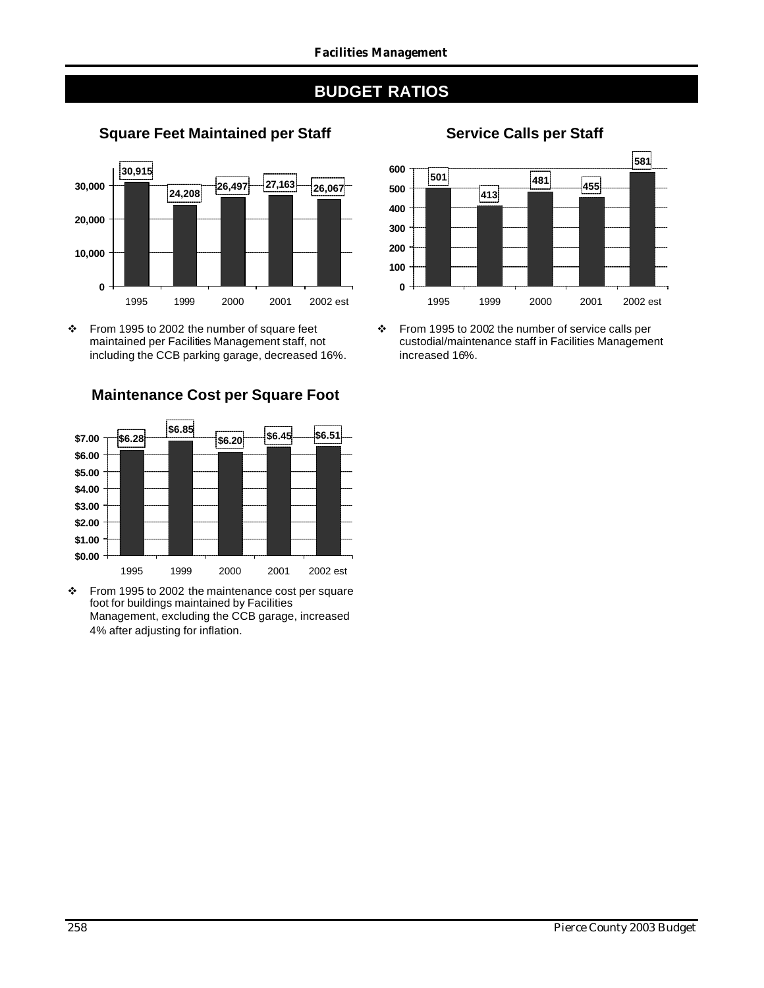



 $\div$  From 1995 to 2002 the number of square feet maintained per Facilities Management staff, not including the CCB parking garage, decreased 16%.



**Maintenance Cost per Square Foot**

 $\div$  From 1995 to 2002 the maintenance cost per square foot for buildings maintained by Facilities Management, excluding the CCB garage, increased 4% after adjusting for inflation.

## **Square Feet Maintained per Staff Service Calls per Staff**



v From 1995 to 2002 the number of service calls per custodial/maintenance staff in Facilities Management increased 16%.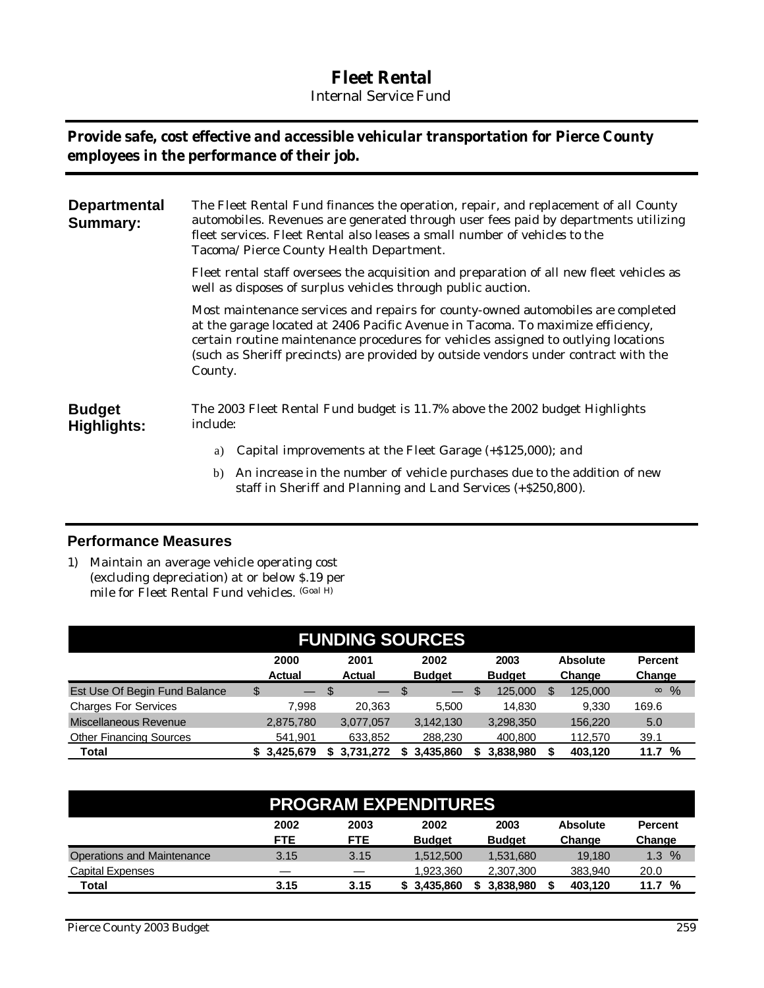## **Fleet Rental**

*Internal Service Fund*

### **Provide safe, cost effective and accessible vehicular transportation for Pierce County employees in the performance of their job.**

| <b>Departmental</b><br><b>Summary:</b> | The Fleet Rental Fund finances the operation, repair, and replacement of all County<br>automobiles. Revenues are generated through user fees paid by departments utilizing<br>fleet services. Fleet Rental also leases a small number of vehicles to the<br>Tacoma/ Pierce County Health Department.                                                        |
|----------------------------------------|-------------------------------------------------------------------------------------------------------------------------------------------------------------------------------------------------------------------------------------------------------------------------------------------------------------------------------------------------------------|
|                                        | Fleet rental staff oversees the acquisition and preparation of all new fleet vehicles as<br>well as disposes of surplus vehicles through public auction.                                                                                                                                                                                                    |
|                                        | Most maintenance services and repairs for county-owned automobiles are completed<br>at the garage located at 2406 Pacific Avenue in Tacoma. To maximize efficiency,<br>certain routine maintenance procedures for vehicles assigned to outlying locations<br>(such as Sheriff precincts) are provided by outside vendors under contract with the<br>County. |
| <b>Budget</b><br>Highlights:           | The 2003 Fleet Rental Fund budget is 11.7% above the 2002 budget Highlights<br>include:                                                                                                                                                                                                                                                                     |
|                                        | Capital improvements at the Fleet Garage (+\$125,000); and<br>a)                                                                                                                                                                                                                                                                                            |

b) An increase in the number of vehicle purchases due to the addition of new staff in Sheriff and Planning and Land Services (+\$250,800).

### **Performance Measures**

1) Maintain an average vehicle operating cost (excluding depreciation) at or below \$.19 per mile for Fleet Rental Fund vehicles. (Goal H)

| <b>FUNDING SOURCES</b>                                                                                                                                    |           |           |                                 |                |               |               |  |  |  |  |  |
|-----------------------------------------------------------------------------------------------------------------------------------------------------------|-----------|-----------|---------------------------------|----------------|---------------|---------------|--|--|--|--|--|
| 2000<br>2001<br>2003<br><b>Absolute</b><br>2002<br><b>Percent</b><br><b>Budget</b><br><b>Budget</b><br>Change<br><b>Actual</b><br><b>Actual</b><br>Change |           |           |                                 |                |               |               |  |  |  |  |  |
| Est Use Of Begin Fund Balance                                                                                                                             | \$        | æ7        | -\$<br>$\overline{\phantom{0}}$ | \$.<br>125,000 | 125,000<br>S. | %<br>$\infty$ |  |  |  |  |  |
| <b>Charges For Services</b>                                                                                                                               | 7.998     | 20.363    | 5.500                           | 14.830         | 9.330         | 169.6         |  |  |  |  |  |
| Miscellaneous Revenue                                                                                                                                     | 2,875,780 | 3.077.057 | 3.142.130                       | 3,298,350      | 156.220       | 5.0           |  |  |  |  |  |
| <b>Other Financing Sources</b>                                                                                                                            | 541,901   | 633,852   | 288,230                         | 400,800        | 112,570       | 39.1          |  |  |  |  |  |
| Total                                                                                                                                                     | 3,425,679 | 3.731.272 | 3.435.860                       | 3,838,980      | 403,120       | %<br>11.7     |  |  |  |  |  |

|                                   | <b>PROGRAM EXPENDITURES</b> |                    |                       |                       |                           |                          |  |  |  |
|-----------------------------------|-----------------------------|--------------------|-----------------------|-----------------------|---------------------------|--------------------------|--|--|--|
|                                   | 2002<br><b>FTE</b>          | 2003<br><b>FTE</b> | 2002<br><b>Budget</b> | 2003<br><b>Budget</b> | <b>Absolute</b><br>Change | <b>Percent</b><br>Change |  |  |  |
| <b>Operations and Maintenance</b> | 3.15                        | 3.15               | 1.512.500             | 1.531.680             | 19.180                    | $\%$<br>1.3              |  |  |  |
| <b>Capital Expenses</b>           |                             |                    | 1.923.360             | 2,307,300             | 383.940                   | 20.0                     |  |  |  |
| <b>Total</b>                      | 3.15                        | 3.15               | \$3,435,860           | 3.838.980             | 403.120                   | %<br>11.7                |  |  |  |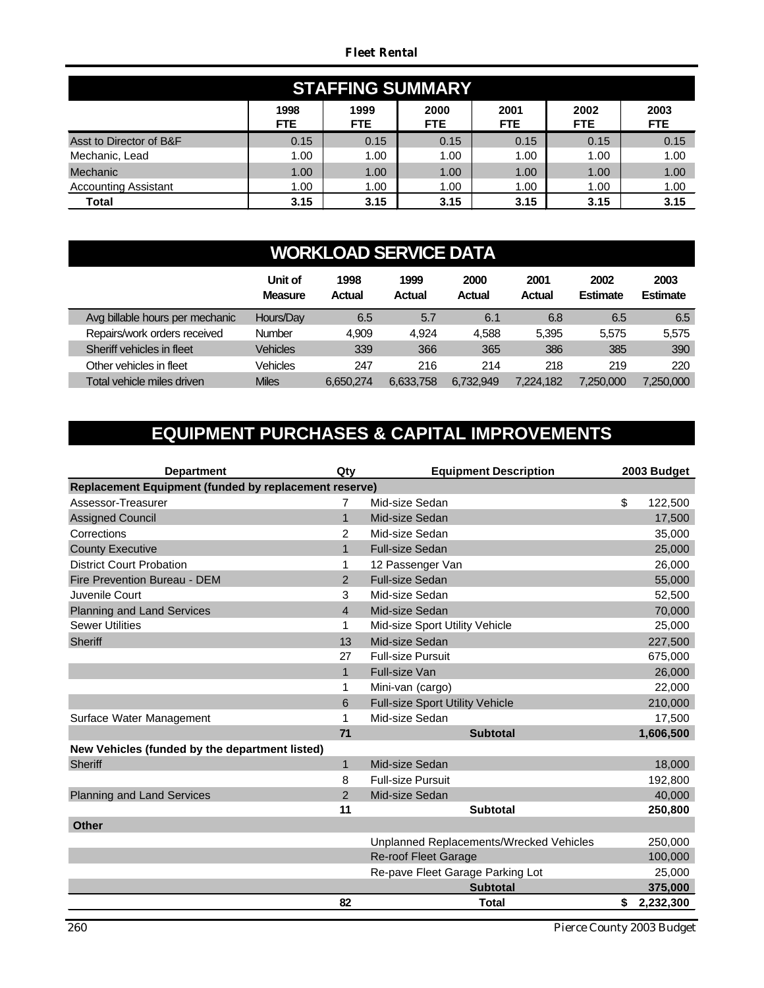#### *Fleet Rental*

| <b>STAFFING SUMMARY</b>                                                                                                          |      |      |      |      |      |      |  |  |  |  |  |
|----------------------------------------------------------------------------------------------------------------------------------|------|------|------|------|------|------|--|--|--|--|--|
| 1998<br>1999<br>2003<br>2000<br>2002<br>2001<br><b>FTE</b><br><b>FTE</b><br><b>FTE</b><br><b>FTE</b><br><b>FTE</b><br><b>FTE</b> |      |      |      |      |      |      |  |  |  |  |  |
| Asst to Director of B&F                                                                                                          | 0.15 | 0.15 | 0.15 | 0.15 | 0.15 | 0.15 |  |  |  |  |  |
| Mechanic, Lead                                                                                                                   | 1.00 | 1.00 | 1.00 | 1.00 | 1.00 | 1.00 |  |  |  |  |  |
| Mechanic                                                                                                                         | 1.00 | 1.00 | 1.00 | 1.00 | 1.00 | 1.00 |  |  |  |  |  |
| <b>Accounting Assistant</b>                                                                                                      | 1.00 | 1.00 | 1.00 | 1.00 | 1.00 | 1.00 |  |  |  |  |  |
| Total                                                                                                                            | 3.15 | 3.15 | 3.15 | 3.15 | 3.15 | 3.15 |  |  |  |  |  |

## **WORKLOAD SERVICE DATA**

|                                 | Unit of<br><b>Measure</b> | 1998<br>Actual | 1999<br><b>Actual</b> | 2000<br><b>Actual</b> | 2001<br>Actual | 2002<br><b>Estimate</b> | 2003<br><b>Estimate</b> |
|---------------------------------|---------------------------|----------------|-----------------------|-----------------------|----------------|-------------------------|-------------------------|
| Avg billable hours per mechanic | Hours/Day                 | 6.5            | 5.7                   | 6.1                   | 6.8            | 6.5                     | 6.5                     |
| Repairs/work orders received    | <b>Number</b>             | 4.909          | 4.924                 | 4,588                 | 5.395          | 5.575                   | 5,575                   |
| Sheriff vehicles in fleet       | Vehicles                  | 339            | 366                   | 365                   | 386            | 385                     | 390                     |
| Other vehicles in fleet         | Vehicles                  | 247            | 216                   | 214                   | 218            | 219                     | 220                     |
| Total vehicle miles driven      | <b>Miles</b>              | 6.650.274      | 6.633.758             | 6.732,949             | 7.224.182      | 7.250.000               | 7.250.000               |

## **EQUIPMENT PURCHASES & CAPITAL IMPROVEMENTS**

| <b>Department</b>                                     | Qty            | <b>Equipment Description</b>            | 2003 Budget |           |
|-------------------------------------------------------|----------------|-----------------------------------------|-------------|-----------|
| Replacement Equipment (funded by replacement reserve) |                |                                         |             |           |
| Assessor-Treasurer                                    | $\overline{7}$ | Mid-size Sedan                          | \$          | 122,500   |
| <b>Assigned Council</b>                               | $\mathbf 1$    | Mid-size Sedan                          |             | 17,500    |
| Corrections                                           | $\overline{2}$ | Mid-size Sedan                          |             | 35,000    |
| <b>County Executive</b>                               | 1              | <b>Full-size Sedan</b>                  |             | 25,000    |
| <b>District Court Probation</b>                       | 1              | 12 Passenger Van                        |             | 26,000    |
| Fire Prevention Bureau - DEM                          | $\overline{2}$ | <b>Full-size Sedan</b>                  |             | 55,000    |
| Juvenile Court                                        | 3              | Mid-size Sedan                          |             | 52,500    |
| Planning and Land Services                            | $\overline{4}$ | Mid-size Sedan                          |             | 70,000    |
| <b>Sewer Utilities</b>                                | 1              | Mid-size Sport Utility Vehicle          |             | 25,000    |
| <b>Sheriff</b>                                        | 13             | Mid-size Sedan                          |             | 227,500   |
|                                                       | 27             | <b>Full-size Pursuit</b>                |             | 675,000   |
|                                                       | $\mathbf{1}$   | <b>Full-size Van</b>                    |             | 26,000    |
|                                                       | 1              | Mini-van (cargo)                        |             | 22,000    |
|                                                       | 6              | <b>Full-size Sport Utility Vehicle</b>  |             | 210,000   |
| Surface Water Management                              | 1              | Mid-size Sedan                          |             | 17,500    |
|                                                       | 71             | <b>Subtotal</b>                         |             | 1,606,500 |
| New Vehicles (funded by the department listed)        |                |                                         |             |           |
| <b>Sheriff</b>                                        | $\mathbf{1}$   | Mid-size Sedan                          |             | 18,000    |
|                                                       | 8              | <b>Full-size Pursuit</b>                |             | 192,800   |
| Planning and Land Services                            | 2              | Mid-size Sedan                          |             | 40,000    |
|                                                       | 11             | <b>Subtotal</b>                         |             | 250,800   |
| <b>Other</b>                                          |                |                                         |             |           |
|                                                       |                | Unplanned Replacements/Wrecked Vehicles |             | 250,000   |
|                                                       |                | <b>Re-roof Fleet Garage</b>             |             | 100,000   |
|                                                       |                | Re-pave Fleet Garage Parking Lot        |             | 25,000    |
|                                                       |                | <b>Subtotal</b>                         |             | 375,000   |
|                                                       | 82             | <b>Total</b>                            | \$          | 2,232,300 |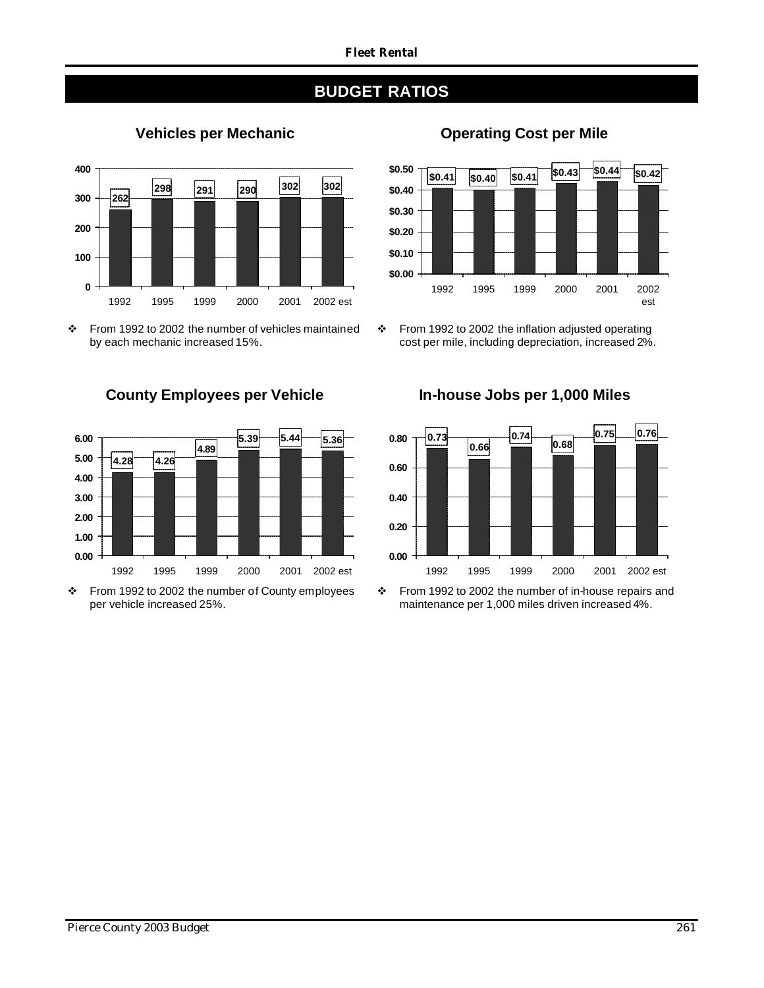

v From 1992 to 2002 the number of vehicles maintained by each mechanic increased 15%.



\* From 1992 to 2002 the number of County employees per vehicle increased 25%.

## **Vehicles per Mechanic Cost per Mile**



v From 1992 to 2002 the inflation adjusted operating cost per mile, including depreciation, increased 2%.

**County Employees per Vehicle In-house Jobs per 1,000 Miles 0.73 0.74 0.68 0.75 0.76**



\* From 1992 to 2002 the number of in-house repairs and maintenance per 1,000 miles driven increased 4%.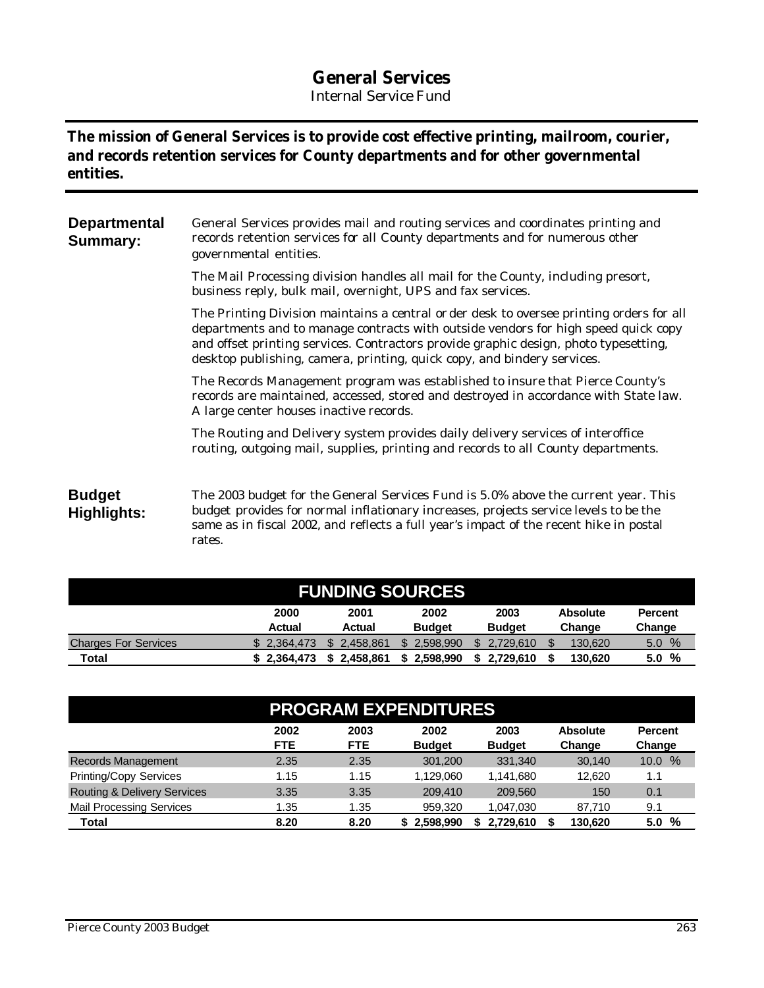## **General Services**

*Internal Service Fund*

## **The mission of General Services is to provide cost effective printing, mailroom, courier, and records retention services for County departments and for other governmental entities.**

| <b>Departmental</b><br><b>Summary:</b> | General Services provides mail and routing services and coordinates printing and<br>records retention services for all County departments and for numerous other<br>governmental entities.                                                                                                                                                        |
|----------------------------------------|---------------------------------------------------------------------------------------------------------------------------------------------------------------------------------------------------------------------------------------------------------------------------------------------------------------------------------------------------|
|                                        | The Mail Processing division handles all mail for the County, including presort,<br>business reply, bulk mail, overnight, UPS and fax services.                                                                                                                                                                                                   |
|                                        | The Printing Division maintains a central or der desk to oversee printing orders for all<br>departments and to manage contracts with outside vendors for high speed quick copy<br>and offset printing services. Contractors provide graphic design, photo typesetting,<br>desktop publishing, camera, printing, quick copy, and bindery services. |
|                                        | The Records Management program was established to insure that Pierce County's<br>records are maintained, accessed, stored and destroyed in accordance with State law.<br>A large center houses inactive records.                                                                                                                                  |
|                                        | The Routing and Delivery system provides daily delivery services of interoffice<br>routing, outgoing mail, supplies, printing and records to all County departments.                                                                                                                                                                              |
| <b>Budget</b><br><b>Highlights:</b>    | The 2003 budget for the General Services Fund is 5.0% above the current year. This<br>budget provides for normal inflationary increases, projects service levels to be the<br>same as in fiscal 2002, and reflects a full year's impact of the recent hike in postal<br>rates.                                                                    |

| <b>FUNDING SOURCES</b>      |                       |                 |                       |                       |                           |                          |  |  |  |  |
|-----------------------------|-----------------------|-----------------|-----------------------|-----------------------|---------------------------|--------------------------|--|--|--|--|
|                             | 2000<br><b>Actual</b> | 2001<br>Actual  | 2002<br><b>Budget</b> | 2003<br><b>Budget</b> | <b>Absolute</b><br>Change | <b>Percent</b><br>Change |  |  |  |  |
| <b>Charges For Services</b> | \$2.364.473           | 2.458.861       | 2.598.990             | 2.729.610             | 130,620                   | $\frac{0}{0}$<br>5.0     |  |  |  |  |
| Total                       | \$2.364.473           | 2.458.861<br>S. | 2.598.990             | 2.729.610             | 130.620                   | %<br>5.0                 |  |  |  |  |

| <b>PROGRAM EXPENDITURES</b>            |                                                                                                                                                     |      |           |           |         |                           |  |  |  |  |
|----------------------------------------|-----------------------------------------------------------------------------------------------------------------------------------------------------|------|-----------|-----------|---------|---------------------------|--|--|--|--|
|                                        | 2002<br>2003<br>2003<br><b>Absolute</b><br>2002<br><b>Percent</b><br><b>FTE</b><br><b>FTE</b><br><b>Budget</b><br><b>Budget</b><br>Change<br>Change |      |           |           |         |                           |  |  |  |  |
| Records Management                     | 2.35                                                                                                                                                | 2.35 | 301.200   | 331.340   | 30.140  | $\%$<br>10.0 <sub>1</sub> |  |  |  |  |
| <b>Printing/Copy Services</b>          | 1.15                                                                                                                                                | 1.15 | 1.129.060 | 1,141,680 | 12.620  | 1.1                       |  |  |  |  |
| <b>Routing &amp; Delivery Services</b> | 3.35                                                                                                                                                | 3.35 | 209,410   | 209,560   | 150     | 0.1                       |  |  |  |  |
| <b>Mail Processing Services</b>        | 1.35                                                                                                                                                | 1.35 | 959.320   | 1,047,030 | 87,710  | 9.1                       |  |  |  |  |
| Total                                  | 8.20                                                                                                                                                | 8.20 | 2.598.990 | 2.729.610 | 130,620 | %<br>5.0                  |  |  |  |  |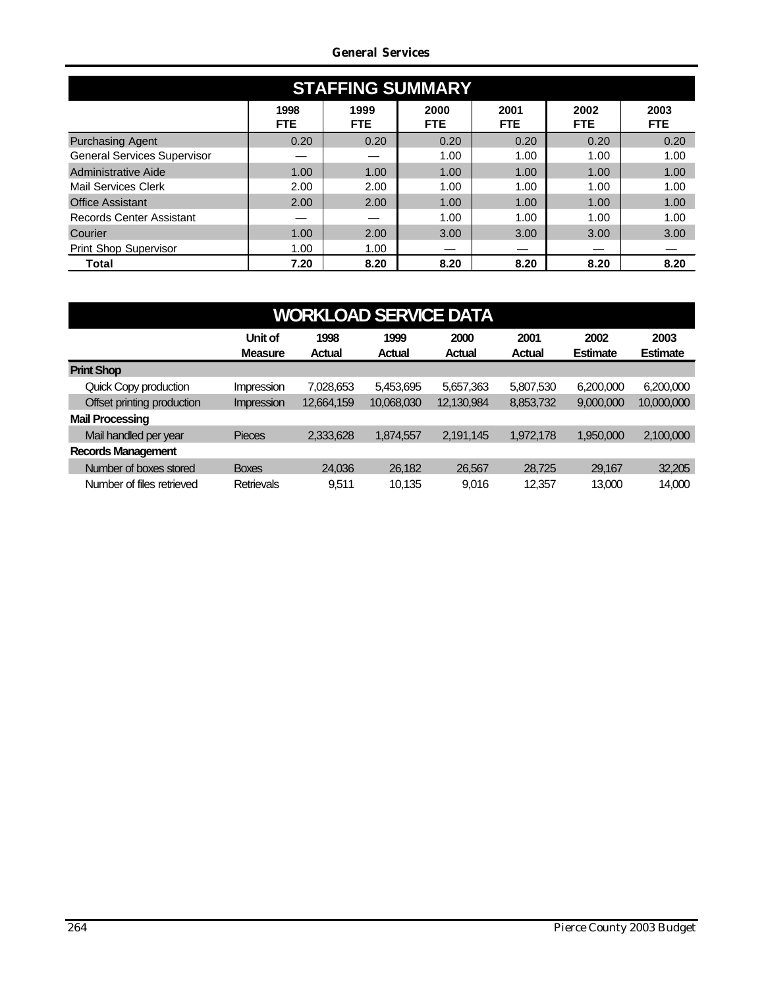#### *General Services*

| <b>STAFFING SUMMARY</b>            |                    |                    |              |                    |                    |                    |  |  |  |  |  |
|------------------------------------|--------------------|--------------------|--------------|--------------------|--------------------|--------------------|--|--|--|--|--|
|                                    | 1998<br><b>FTE</b> | 1999<br><b>FTE</b> | 2000<br>FTE. | 2001<br><b>FTE</b> | 2002<br><b>FTE</b> | 2003<br><b>FTE</b> |  |  |  |  |  |
| <b>Purchasing Agent</b>            | 0.20               | 0.20               | 0.20         | 0.20               | 0.20               | 0.20               |  |  |  |  |  |
| <b>General Services Supervisor</b> |                    |                    | 1.00         | 1.00               | 1.00               | 1.00               |  |  |  |  |  |
| Administrative Aide                | 1.00               | 1.00               | 1.00         | 1.00               | 1.00               | 1.00               |  |  |  |  |  |
| Mail Services Clerk                | 2.00               | 2.00               | 1.00         | 1.00               | 1.00               | 1.00               |  |  |  |  |  |
| <b>Office Assistant</b>            | 2.00               | 2.00               | 1.00         | 1.00               | 1.00               | 1.00               |  |  |  |  |  |
| <b>Records Center Assistant</b>    |                    |                    | 1.00         | 1.00               | 1.00               | 1.00               |  |  |  |  |  |
| Courier                            | 1.00               | 2.00               | 3.00         | 3.00               | 3.00               | 3.00               |  |  |  |  |  |
| <b>Print Shop Supervisor</b>       | 1.00               | 1.00               |              |                    |                    |                    |  |  |  |  |  |
| Total                              | 7.20               | 8.20               | 8.20         | 8.20               | 8.20               | 8.20               |  |  |  |  |  |

| <b>WORKLOAD SERVICE DATA</b> |                           |                |                       |                       |                       |                         |                         |  |
|------------------------------|---------------------------|----------------|-----------------------|-----------------------|-----------------------|-------------------------|-------------------------|--|
|                              | Unit of<br><b>Measure</b> | 1998<br>Actual | 1999<br><b>Actual</b> | 2000<br><b>Actual</b> | 2001<br><b>Actual</b> | 2002<br><b>Estimate</b> | 2003<br><b>Estimate</b> |  |
| <b>Print Shop</b>            |                           |                |                       |                       |                       |                         |                         |  |
| Quick Copy production        | <b>Impression</b>         | 7,028,653      | 5,453,695             | 5,657,363             | 5,807,530             | 6,200,000               | 6,200,000               |  |
| Offset printing production   | <b>Impression</b>         | 12,664,159     | 10,068,030            | 12,130,984            | 8,853,732             | 9,000,000               | 10,000,000              |  |
| <b>Mail Processing</b>       |                           |                |                       |                       |                       |                         |                         |  |
| Mail handled per year        | <b>Pieces</b>             | 2,333,628      | 1,874,557             | 2,191,145             | 1,972,178             | 1,950,000               | 2,100,000               |  |
| <b>Records Management</b>    |                           |                |                       |                       |                       |                         |                         |  |
| Number of boxes stored       | <b>Boxes</b>              | 24.036         | 26,182                | 26,567                | 28,725                | 29,167                  | 32,205                  |  |
| Number of files retrieved    | <b>Retrievals</b>         | 9.511          | 10.135                | 9.016                 | 12,357                | 13,000                  | 14,000                  |  |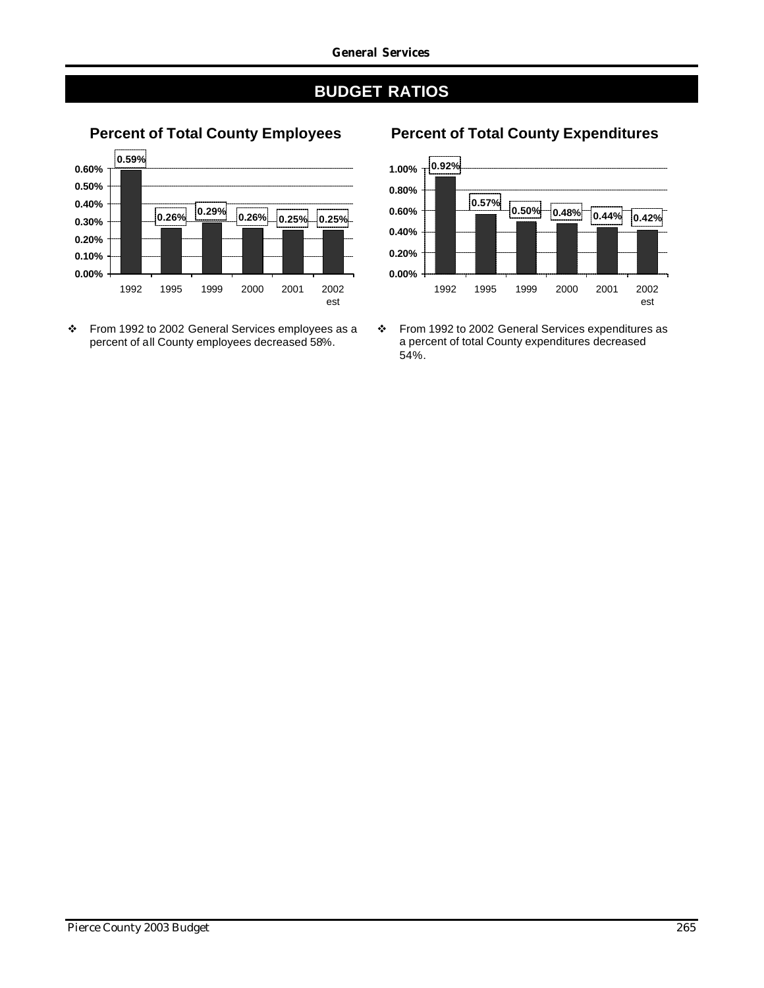



## **Percent of Total County Employees Percent of Total County Expenditures**



\* From 1992 to 2002 General Services expenditures as a percent of total County expenditures decreased 54%.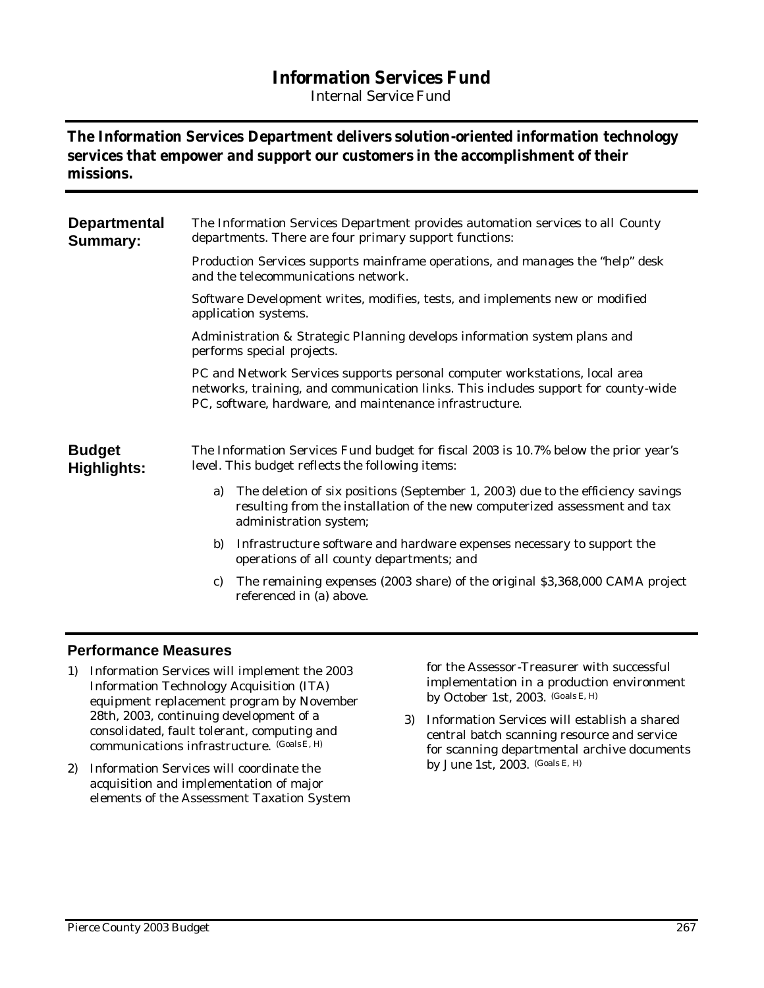## **Information Services Fund**

*Internal Service Fund*

### **The Information Services Department delivers solution-oriented information technology services that empower and support our customers in the accomplishment of their missions.**

| <b>Departmental</b><br><b>Summary:</b> | The Information Services Department provides automation services to all County<br>departments. There are four primary support functions:                                                                                     |
|----------------------------------------|------------------------------------------------------------------------------------------------------------------------------------------------------------------------------------------------------------------------------|
|                                        | Production Services supports mainframe operations, and manages the "help" desk<br>and the telecommunications network.                                                                                                        |
|                                        | Software Development writes, modifies, tests, and implements new or modified<br>application systems.                                                                                                                         |
|                                        | Administration & Strategic Planning develops information system plans and<br>performs special projects.                                                                                                                      |
|                                        | PC and Network Services supports personal computer workstations, local area<br>networks, training, and communication links. This includes support for county-wide<br>PC, software, hardware, and maintenance infrastructure. |
| <b>Budget</b><br><b>Highlights:</b>    | The Information Services Fund budget for fiscal 2003 is 10.7% below the prior year's<br>level. This budget reflects the following items:                                                                                     |
|                                        | The deletion of six positions (September 1, 2003) due to the efficiency savings<br>a)<br>resulting from the installation of the new computerized assessment and tax<br>administration system;                                |
|                                        | Infrastructure software and hardware expenses necessary to support the<br>b)<br>operations of all county departments; and                                                                                                    |
|                                        | The remaining expenses (2003 share) of the original \$3,368,000 CAMA project<br>c)<br>referenced in (a) above.                                                                                                               |
|                                        |                                                                                                                                                                                                                              |

#### **Performance Measures**

- 1) Information Services will implement the 2003 Information Technology Acquisition (ITA) equipment replacement program by November 28th, 2003, continuing development of a consolidated, fault tolerant, computing and communications infrastructure. (GoalsE, H)
- 2) Information Services will coordinate the acquisition and implementation of major elements of the Assessment Taxation System

for the Assessor-Treasurer with successful implementation in a production environment by October 1st, 2003. (Goals E, H)

3) Information Services will establish a shared central batch scanning resource and service for scanning departmental archive documents by June 1st, 2003. (Goals E, H)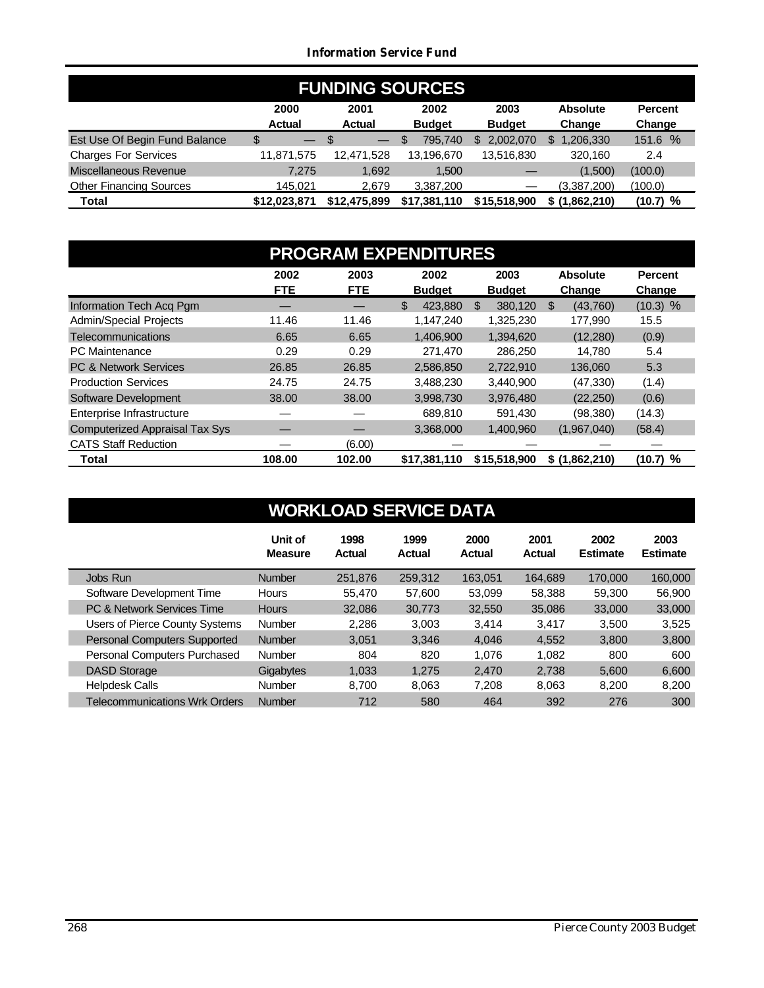#### *Information Service Fund*

| <b>FUNDING SOURCES</b>         |                                |               |               |               |                 |                |
|--------------------------------|--------------------------------|---------------|---------------|---------------|-----------------|----------------|
|                                | 2000                           | 2001          | 2002          | 2003          | <b>Absolute</b> | <b>Percent</b> |
|                                | <b>Actual</b>                  | <b>Actual</b> | <b>Budget</b> | <b>Budget</b> | Change          | Change         |
| Est Use Of Begin Fund Balance  | \$<br>$\overline{\phantom{0}}$ | -S            | 795.740<br>\$ | 2.002.070     | 1,206,330<br>\$ | 151.6 %        |
| <b>Charges For Services</b>    | 11,871,575                     | 12,471,528    | 13,196,670    | 13,516,830    | 320.160         | 2.4            |
| Miscellaneous Revenue          | 7.275                          | 1.692         | 1,500         |               | (1,500)         | (100.0)        |
| <b>Other Financing Sources</b> | 145.021                        | 2.679         | 3,387,200     |               | (3,387,200)     | (100.0)        |
| <b>Total</b>                   | \$12.023.871                   | \$12,475,899  | \$17,381,110  | \$15,518,900  | \$(1,862,210)   | (10.7) %       |

| <b>PROGRAM EXPENDITURES</b>           |                    |                    |                       |                       |                           |                          |  |
|---------------------------------------|--------------------|--------------------|-----------------------|-----------------------|---------------------------|--------------------------|--|
|                                       | 2002<br><b>FTE</b> | 2003<br><b>FTE</b> | 2002<br><b>Budget</b> | 2003<br><b>Budget</b> | <b>Absolute</b><br>Change | <b>Percent</b><br>Change |  |
| Information Tech Acq Pgm              |                    |                    | \$<br>423.880         | 380.120<br>\$.        | (43,760)<br>\$.           | $(10.3)$ %               |  |
| <b>Admin/Special Projects</b>         | 11.46              | 11.46              | 1.147.240             | 1,325,230             | 177.990                   | 15.5                     |  |
| <b>Telecommunications</b>             | 6.65               | 6.65               | 1,406,900             | 1.394.620             | (12, 280)                 | (0.9)                    |  |
| <b>PC</b> Maintenance                 | 0.29               | 0.29               | 271,470               | 286.250               | 14.780                    | 5.4                      |  |
| <b>PC &amp; Network Services</b>      | 26.85              | 26.85              | 2,586,850             | 2,722,910             | 136,060                   | 5.3                      |  |
| <b>Production Services</b>            | 24.75              | 24.75              | 3,488,230             | 3,440,900             | (47, 330)                 | (1.4)                    |  |
| Software Development                  | 38.00              | 38.00              | 3,998,730             | 3.976.480             | (22, 250)                 | (0.6)                    |  |
| Enterprise Infrastructure             |                    |                    | 689.810               | 591.430               | (98, 380)                 | (14.3)                   |  |
| <b>Computerized Appraisal Tax Sys</b> |                    |                    | 3,368,000             | 1,400,960             | (1,967,040)               | (58.4)                   |  |
| <b>CATS Staff Reduction</b>           |                    | (6.00)             |                       |                       |                           |                          |  |
| Total                                 | 108.00             | 102.00             | \$17,381,110          | \$15,518,900          | \$(1,862,210)             | (10.7) %                 |  |

|                                      | Unit of<br><b>Measure</b> | 1998<br>Actual | 1999<br>Actual | 2000<br>Actual | 2001<br>Actual | 2002<br><b>Estimate</b> | 2003<br><b>Estimate</b> |
|--------------------------------------|---------------------------|----------------|----------------|----------------|----------------|-------------------------|-------------------------|
| Jobs Run                             | <b>Number</b>             | 251,876        | 259.312        | 163.051        | 164.689        | 170,000                 | 160,000                 |
| Software Development Time            | <b>Hours</b>              | 55.470         | 57.600         | 53.099         | 58,388         | 59,300                  | 56,900                  |
| PC & Network Services Time           | <b>Hours</b>              | 32,086         | 30.773         | 32,550         | 35.086         | 33,000                  | 33,000                  |
| Users of Pierce County Systems       | Number                    | 2,286          | 3,003          | 3.414          | 3.417          | 3.500                   | 3,525                   |
| Personal Computers Supported         | <b>Number</b>             | 3,051          | 3,346          | 4,046          | 4.552          | 3,800                   | 3,800                   |
| Personal Computers Purchased         | Number                    | 804            | 820            | 1.076          | 1.082          | 800                     | 600                     |
| <b>DASD Storage</b>                  | Gigabytes                 | 1,033          | 1.275          | 2,470          | 2,738          | 5.600                   | 6,600                   |
| <b>Helpdesk Calls</b>                | <b>Number</b>             | 8.700          | 8,063          | 7,208          | 8.063          | 8,200                   | 8,200                   |
| <b>Telecommunications Wrk Orders</b> | <b>Number</b>             | 712            | 580            | 464            | 392            | 276                     | 300                     |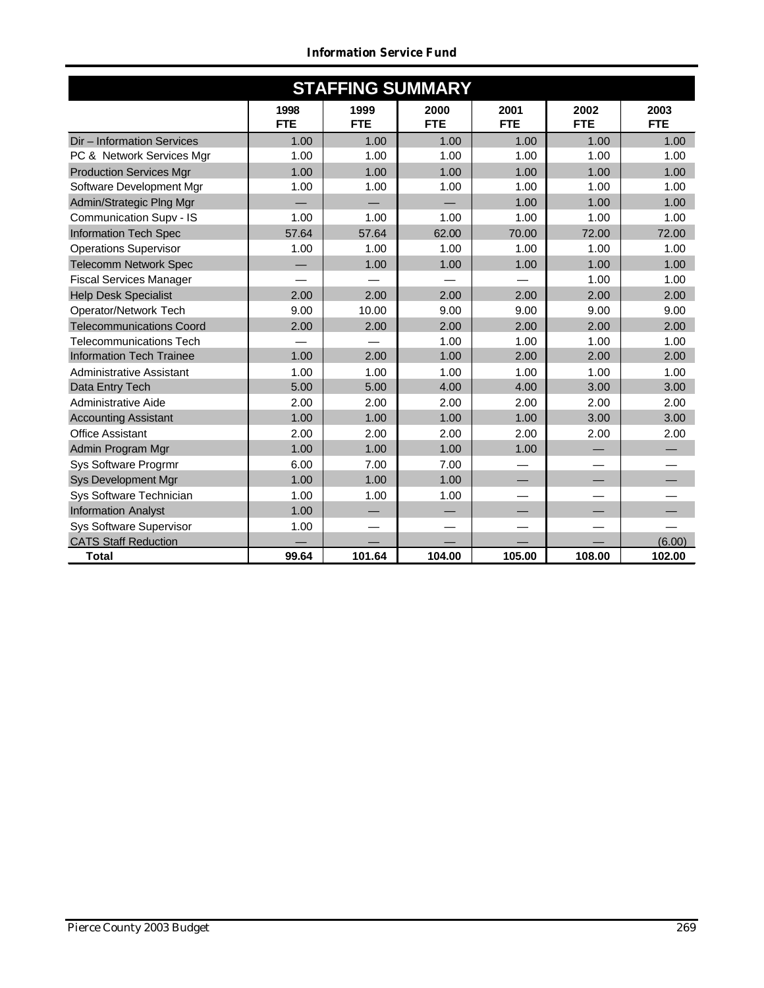| <b>STAFFING SUMMARY</b>         |                    |                    |                    |                    |                    |                    |  |  |
|---------------------------------|--------------------|--------------------|--------------------|--------------------|--------------------|--------------------|--|--|
|                                 | 1998<br><b>FTE</b> | 1999<br><b>FTE</b> | 2000<br><b>FTE</b> | 2001<br><b>FTE</b> | 2002<br><b>FTE</b> | 2003<br><b>FTE</b> |  |  |
| Dir - Information Services      | 1.00               | 1.00               | 1.00               | 1.00               | 1.00               | 1.00               |  |  |
| PC & Network Services Mgr       | 1.00               | 1.00               | 1.00               | 1.00               | 1.00               | 1.00               |  |  |
| <b>Production Services Mgr</b>  | 1.00               | 1.00               | 1.00               | 1.00               | 1.00               | 1.00               |  |  |
| Software Development Mgr        | 1.00               | 1.00               | 1.00               | 1.00               | 1.00               | 1.00               |  |  |
| Admin/Strategic Plng Mgr        |                    |                    |                    | 1.00               | 1.00               | 1.00               |  |  |
| Communication Supv - IS         | 1.00               | 1.00               | 1.00               | 1.00               | 1.00               | 1.00               |  |  |
| Information Tech Spec           | 57.64              | 57.64              | 62.00              | 70.00              | 72.00              | 72.00              |  |  |
| <b>Operations Supervisor</b>    | 1.00               | 1.00               | 1.00               | 1.00               | 1.00               | 1.00               |  |  |
| <b>Telecomm Network Spec</b>    |                    | 1.00               | 1.00               | 1.00               | 1.00               | 1.00               |  |  |
| <b>Fiscal Services Manager</b>  |                    |                    |                    |                    | 1.00               | 1.00               |  |  |
| <b>Help Desk Specialist</b>     | 2.00               | 2.00               | 2.00               | 2.00               | 2.00               | 2.00               |  |  |
| Operator/Network Tech           | 9.00               | 10.00              | 9.00               | 9.00               | 9.00               | 9.00               |  |  |
| <b>Telecommunications Coord</b> | 2.00               | 2.00               | 2.00               | 2.00               | 2.00               | 2.00               |  |  |
| <b>Telecommunications Tech</b>  |                    |                    | 1.00               | 1.00               | 1.00               | 1.00               |  |  |
| <b>Information Tech Trainee</b> | 1.00               | 2.00               | 1.00               | 2.00               | 2.00               | 2.00               |  |  |
| Administrative Assistant        | 1.00               | 1.00               | 1.00               | 1.00               | 1.00               | 1.00               |  |  |
| Data Entry Tech                 | 5.00               | 5.00               | 4.00               | 4.00               | 3.00               | 3.00               |  |  |
| Administrative Aide             | 2.00               | 2.00               | 2.00               | 2.00               | 2.00               | 2.00               |  |  |
| <b>Accounting Assistant</b>     | 1.00               | 1.00               | 1.00               | 1.00               | 3.00               | 3.00               |  |  |
| <b>Office Assistant</b>         | 2.00               | 2.00               | 2.00               | 2.00               | 2.00               | 2.00               |  |  |
| Admin Program Mgr               | 1.00               | 1.00               | 1.00               | 1.00               |                    |                    |  |  |
| Sys Software Progrmr            | 6.00               | 7.00               | 7.00               |                    |                    |                    |  |  |
| <b>Sys Development Mgr</b>      | 1.00               | 1.00               | 1.00               |                    |                    |                    |  |  |
| Sys Software Technician         | 1.00               | 1.00               | 1.00               |                    |                    |                    |  |  |
| <b>Information Analyst</b>      | 1.00               |                    |                    |                    |                    |                    |  |  |
| Sys Software Supervisor         | 1.00               |                    |                    |                    |                    |                    |  |  |
| <b>CATS Staff Reduction</b>     |                    |                    |                    |                    |                    | (6.00)             |  |  |
| <b>Total</b>                    | 99.64              | 101.64             | 104.00             | 105.00             | 108.00             | 102.00             |  |  |

*Information Service Fund*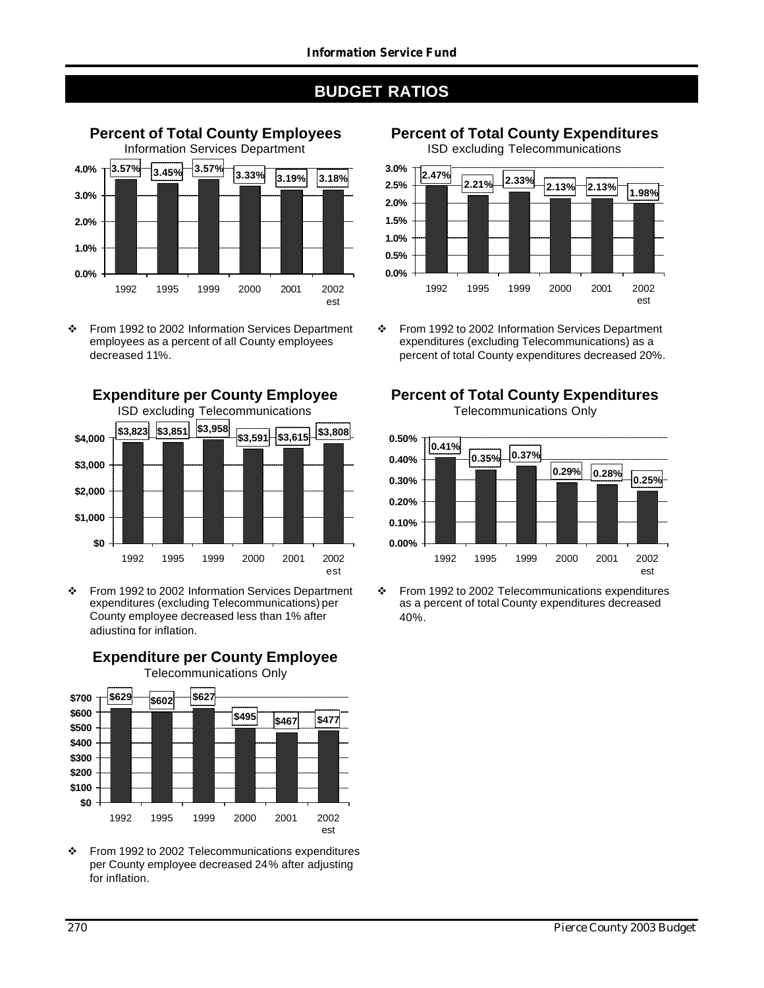

v From 1992 to 2002 Information Services Department employees as a percent of all County employees decreased 11%.



v From 1992 to 2002 Information Services Department expenditures (excluding Telecommunications) per County employee decreased less than 1% after adjusting for inflation.

**Expenditure per County Employee**



\* From 1992 to 2002 Telecommunications expenditures per County employee decreased 24% after adjusting for inflation.

**Percent of Total County Expenditures** ISD excluding Telecommunications





v From 1992 to 2002 Information Services Department expenditures (excluding Telecommunications) as a percent of total County expenditures decreased 20%.

## **Percent of Total County Expenditures**

Telecommunications Only



<sup>\*</sup> From 1992 to 2002 Telecommunications expenditures as a percent of total County expenditures decreased 40%.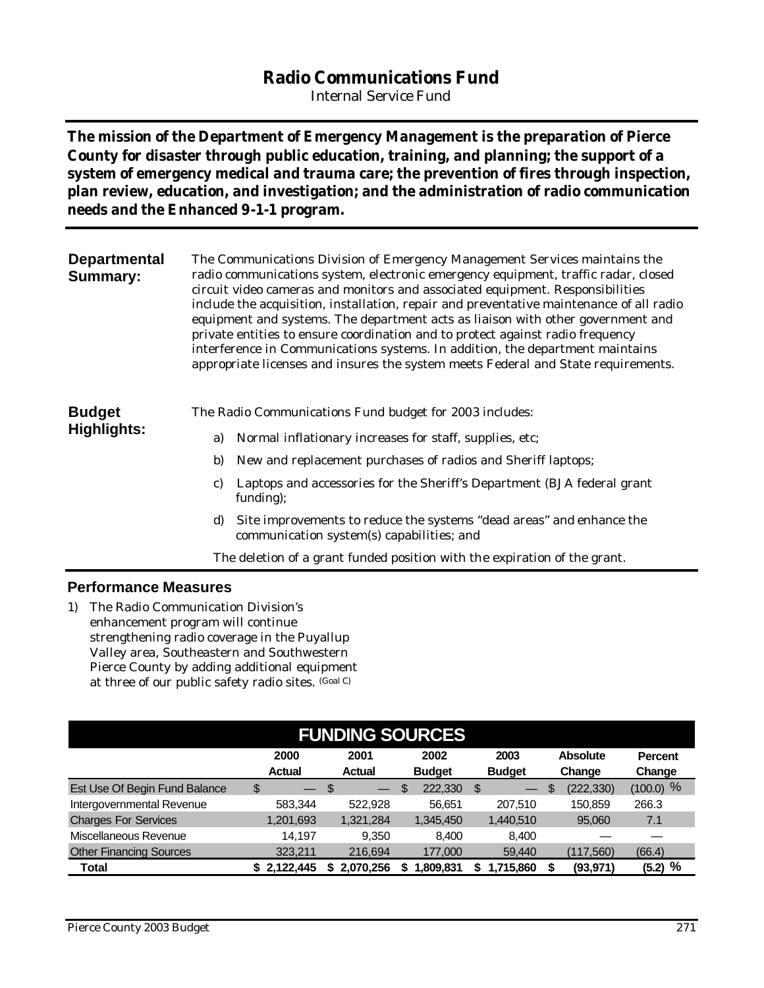## **Radio Communications Fund**

*Internal Service Fund*

**The mission of the Department of Emergency Management is the preparation of Pierce County for disaster through public education, training, and planning; the support of a system of emergency medical and trauma care; the prevention of fires through inspection, plan review, education, and investigation; and the administration of radio communication needs and the Enhanced 9-1-1 program.**

| <b>Departmental</b><br><b>Summary:</b> |    | The Communications Division of Emergency Management Services maintains the<br>radio communications system, electronic emergency equipment, traffic radar, closed<br>circuit video cameras and monitors and associated equipment. Responsibilities<br>include the acquisition, installation, repair and preventative maintenance of all radio<br>equipment and systems. The department acts as liaison with other government and<br>private entities to ensure coordination and to protect against radio frequency<br>interference in Communications systems. In addition, the department maintains<br>appropriate licenses and insures the system meets Federal and State requirements. |
|----------------------------------------|----|-----------------------------------------------------------------------------------------------------------------------------------------------------------------------------------------------------------------------------------------------------------------------------------------------------------------------------------------------------------------------------------------------------------------------------------------------------------------------------------------------------------------------------------------------------------------------------------------------------------------------------------------------------------------------------------------|
| <b>Budget</b>                          |    | The Radio Communications Fund budget for 2003 includes:                                                                                                                                                                                                                                                                                                                                                                                                                                                                                                                                                                                                                                 |
| Highlights:                            | a) | Normal inflationary increases for staff, supplies, etc;                                                                                                                                                                                                                                                                                                                                                                                                                                                                                                                                                                                                                                 |
|                                        | b) | New and replacement purchases of radios and Sheriff laptops;                                                                                                                                                                                                                                                                                                                                                                                                                                                                                                                                                                                                                            |
|                                        | C) | Laptops and accessories for the Sheriff's Department (BJA federal grant<br>funding);                                                                                                                                                                                                                                                                                                                                                                                                                                                                                                                                                                                                    |
|                                        | d) | Site improvements to reduce the systems "dead areas" and enhance the<br>communication system(s) capabilities; and                                                                                                                                                                                                                                                                                                                                                                                                                                                                                                                                                                       |

The deletion of a grant funded position with the expiration of the grant.

#### **Performance Measures**

1) The Radio Communication Division's enhancement program will continue strengthening radio coverage in the Puyallup Valley area, Southeastern and Southwestern Pierce County by adding additional equipment at three of our public safety radio sites. (Goal C)

|                                |                                | <b>FUNDING SOURCES</b>         |               |                         |                  |                |
|--------------------------------|--------------------------------|--------------------------------|---------------|-------------------------|------------------|----------------|
|                                | 2000                           | 2001                           | 2002          | 2003                    | <b>Absolute</b>  | <b>Percent</b> |
|                                | <b>Actual</b>                  | <b>Actual</b>                  | <b>Budget</b> | <b>Budget</b>           | Change           | Change         |
| Est Use Of Begin Fund Balance  | \$<br>$\overline{\phantom{m}}$ | \$<br>$\overline{\phantom{0}}$ | \$<br>222,330 | \$<br>$\hspace{0.05cm}$ | \$<br>(222, 330) | $(100.0)$ %    |
| Intergovernmental Revenue      | 583.344                        | 522.928                        | 56.651        | 207,510                 | 150.859          | 266.3          |
| <b>Charges For Services</b>    | 1,201,693                      | 1,321,284                      | 1,345,450     | 1,440,510               | 95,060           | 7.1            |
| Miscellaneous Revenue          | 14.197                         | 9.350                          | 8.400         | 8,400                   |                  |                |
| <b>Other Financing Sources</b> | 323,211                        | 216,694                        | 177,000       | 59,440                  | (117,560)        | (66.4)         |
| Total                          | 2.122.445                      | 2.070.256                      | ,809,831      | 1,715,860               | (93, 971)        | %<br>(5.2)     |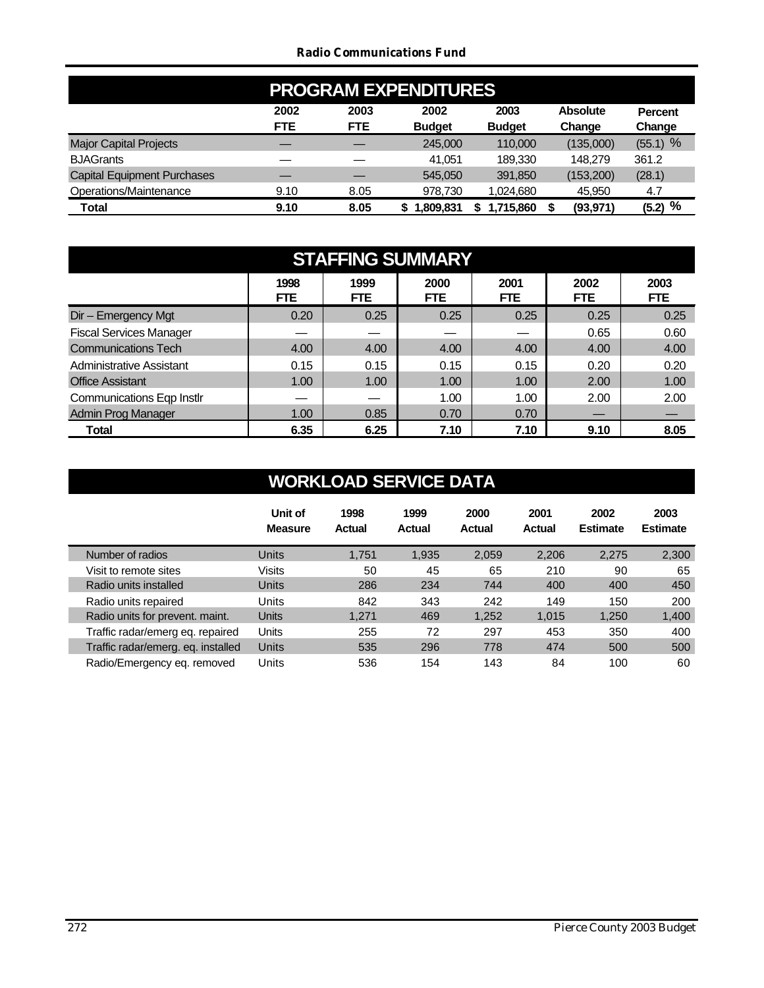#### *Radio Communications Fund*

|                                    | <b>PROGRAM EXPENDITURES</b> |                    |                       |                       |                           |                          |  |  |
|------------------------------------|-----------------------------|--------------------|-----------------------|-----------------------|---------------------------|--------------------------|--|--|
|                                    | 2002<br><b>FTE</b>          | 2003<br><b>FTE</b> | 2002<br><b>Budget</b> | 2003<br><b>Budget</b> | <b>Absolute</b><br>Change | <b>Percent</b><br>Change |  |  |
| <b>Major Capital Projects</b>      |                             |                    | 245,000               | 110,000               | (135,000)                 | $(55.1)$ %               |  |  |
| <b>BJAGrants</b>                   |                             |                    | 41.051                | 189,330               | 148.279                   | 361.2                    |  |  |
| <b>Capital Equipment Purchases</b> |                             |                    | 545,050               | 391,850               | (153, 200)                | (28.1)                   |  |  |
| Operations/Maintenance             | 9.10                        | 8.05               | 978.730               | 1,024,680             | 45,950                    | 4.7                      |  |  |
| Total                              | 9.10                        | 8.05               | 1.809.831             | 1,715,860             | (93, 971)                 | %<br>(5.2)               |  |  |

| <b>STAFFING SUMMARY</b>          |                    |                    |                    |                    |              |              |
|----------------------------------|--------------------|--------------------|--------------------|--------------------|--------------|--------------|
|                                  | 1998<br><b>FTE</b> | 1999<br><b>FTE</b> | 2000<br><b>FTE</b> | 2001<br><b>FTE</b> | 2002<br>FTE. | 2003<br>FTE. |
| Dir - Emergency Mgt              | 0.20               | 0.25               | 0.25               | 0.25               | 0.25         | 0.25         |
| <b>Fiscal Services Manager</b>   |                    |                    |                    |                    | 0.65         | 0.60         |
| <b>Communications Tech</b>       | 4.00               | 4.00               | 4.00               | 4.00               | 4.00         | 4.00         |
| Administrative Assistant         | 0.15               | 0.15               | 0.15               | 0.15               | 0.20         | 0.20         |
| <b>Office Assistant</b>          | 1.00               | 1.00               | 1.00               | 1.00               | 2.00         | 1.00         |
| <b>Communications Eqp Instlr</b> |                    |                    | 1.00               | 1.00               | 2.00         | 2.00         |
| <b>Admin Prog Manager</b>        | 1.00               | 0.85               | 0.70               | 0.70               |              |              |
| Total                            | 6.35               | 6.25               | 7.10               | 7.10               | 9.10         | 8.05         |

|                                    | Unit of<br><b>Measure</b> | 1998<br><b>Actual</b> | 1999<br>Actual | 2000<br><b>Actual</b> | 2001<br>Actual | 2002<br><b>Estimate</b> | 2003<br><b>Estimate</b> |
|------------------------------------|---------------------------|-----------------------|----------------|-----------------------|----------------|-------------------------|-------------------------|
| Number of radios                   | <b>Units</b>              | 1,751                 | 1,935          | 2,059                 | 2,206          | 2,275                   | 2,300                   |
| Visit to remote sites              | Visits                    | 50                    | 45             | 65                    | 210            | 90                      | 65                      |
| Radio units installed              | <b>Units</b>              | 286                   | 234            | 744                   | 400            | 400                     | 450                     |
| Radio units repaired               | Units                     | 842                   | 343            | 242                   | 149            | 150                     | 200                     |
| Radio units for prevent. maint.    | Units                     | 1,271                 | 469            | 1,252                 | 1,015          | 1,250                   | 1,400                   |
| Traffic radar/emerg eg. repaired   | Units                     | 255                   | 72             | 297                   | 453            | 350                     | 400                     |
| Traffic radar/emerg. eg. installed | <b>Units</b>              | 535                   | 296            | 778                   | 474            | 500                     | 500                     |
| Radio/Emergency eq. removed        | Units                     | 536                   | 154            | 143                   | 84             | 100                     | 60                      |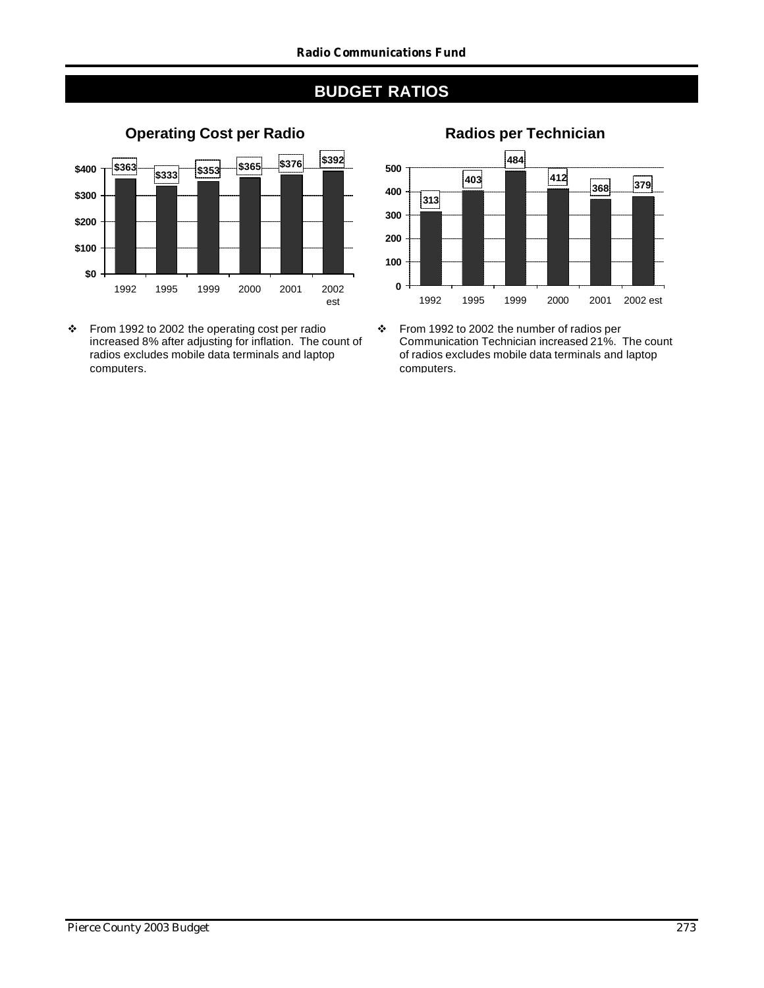

v From 1992 to 2002 the operating cost per radio increased 8% after adjusting for inflation. The count of radios excludes mobile data terminals and laptop computers.

## **Operating Cost per Radio Radios per Technician**



v From 1992 to 2002 the number of radios per Communication Technician increased 21%. The count of radios excludes mobile data terminals and laptop computers.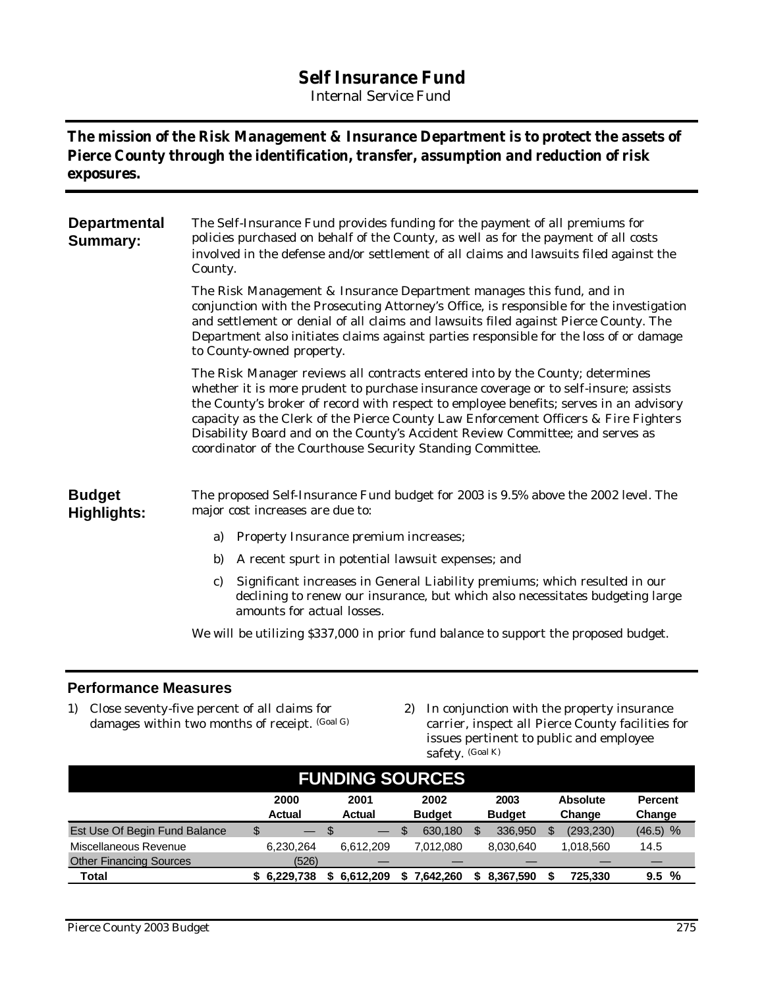## **Self Insurance Fund**

*Internal Service Fund*

### **The mission of the Risk Management & Insurance Department is to protect the assets of Pierce County through the identification, transfer, assumption and reduction of risk exposures.**

| <b>Departmental</b><br><b>Summary:</b> | The Self-Insurance Fund provides funding for the payment of all premiums for<br>policies purchased on behalf of the County, as well as for the payment of all costs<br>involved in the defense and/or settlement of all claims and lawsuits filed against the<br>County.                                                                                                                                                                                                                              |  |  |  |  |  |  |  |
|----------------------------------------|-------------------------------------------------------------------------------------------------------------------------------------------------------------------------------------------------------------------------------------------------------------------------------------------------------------------------------------------------------------------------------------------------------------------------------------------------------------------------------------------------------|--|--|--|--|--|--|--|
|                                        | The Risk Management & Insurance Department manages this fund, and in<br>conjunction with the Prosecuting Attorney's Office, is responsible for the investigation<br>and settlement or denial of all claims and lawsuits filed against Pierce County. The<br>Department also initiates claims against parties responsible for the loss of or damage<br>to County-owned property.                                                                                                                       |  |  |  |  |  |  |  |
|                                        | The Risk Manager reviews all contracts entered into by the County; determines<br>whether it is more prudent to purchase insurance coverage or to self-insure; assists<br>the County's broker of record with respect to employee benefits; serves in an advisory<br>capacity as the Clerk of the Pierce County Law Enforcement Officers & Fire Fighters<br>Disability Board and on the County's Accident Review Committee; and serves as<br>coordinator of the Courthouse Security Standing Committee. |  |  |  |  |  |  |  |
| <b>Budget</b><br><b>Highlights:</b>    | The proposed Self-Insurance Fund budget for 2003 is 9.5% above the 2002 level. The<br>major cost increases are due to:                                                                                                                                                                                                                                                                                                                                                                                |  |  |  |  |  |  |  |
|                                        | Property Insurance premium increases;<br>a)                                                                                                                                                                                                                                                                                                                                                                                                                                                           |  |  |  |  |  |  |  |
|                                        | b)<br>A recent spurt in potential lawsuit expenses; and                                                                                                                                                                                                                                                                                                                                                                                                                                               |  |  |  |  |  |  |  |
|                                        | Significant increases in General Liability premiums; which resulted in our<br>C)<br>declining to renew our insurance, but which also necessitates budgeting large<br>amounts for actual losses.                                                                                                                                                                                                                                                                                                       |  |  |  |  |  |  |  |
|                                        | $\mathbf{111}$ $\mathbf{111}$ $\mathbf{111}$ $\mathbf{111}$ $\mathbf{111}$ $\mathbf{11}$ $\mathbf{11}$ $\mathbf{11}$ $\mathbf{11}$                                                                                                                                                                                                                                                                                                                                                                    |  |  |  |  |  |  |  |

We will be utilizing \$337,000 in prior fund balance to support the proposed budget.

#### **Performance Measures**

- 1) Close seventy-five percent of all claims for damages within two months of receipt. (Goal G)
- 2) In conjunction with the property insurance carrier, inspect all Pierce County facilities for issues pertinent to public and employee safety. (Goal K)

| <b>FUNDING SOURCES</b>         |             |                   |               |               |                 |                |  |  |  |  |
|--------------------------------|-------------|-------------------|---------------|---------------|-----------------|----------------|--|--|--|--|
|                                | 2000        | 2001              | 2002          | 2003          | <b>Absolute</b> | <b>Percent</b> |  |  |  |  |
|                                | Actual      | <b>Actual</b>     | <b>Budget</b> | <b>Budget</b> | Change          | Change         |  |  |  |  |
| Est Use Of Begin Fund Balance  | \$          | $\qquad \qquad -$ | \$<br>630.180 | 336.950       | (293, 230)<br>S | $(46.5)$ %     |  |  |  |  |
| Miscellaneous Revenue          | 6.230.264   | 6.612.209         | 7.012.080     | 8,030,640     | 1.018.560       | 14.5           |  |  |  |  |
| <b>Other Financing Sources</b> | (526)       |                   |               |               |                 |                |  |  |  |  |
| Total                          | \$6.229.738 | 6.612.209         | .642.260      | 8.367.590     | 725.330         | 9.5%           |  |  |  |  |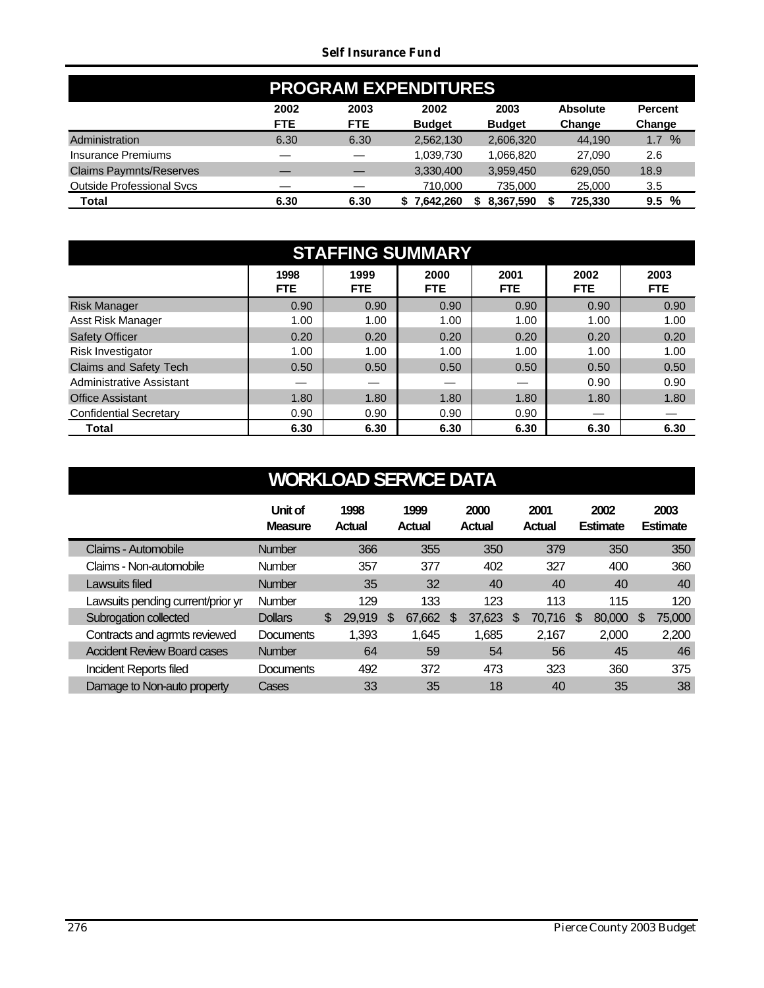#### *Self Insurance Fund*

| <b>PROGRAM EXPENDITURES</b>      |            |            |               |               |                 |                |  |  |  |
|----------------------------------|------------|------------|---------------|---------------|-----------------|----------------|--|--|--|
|                                  | 2002       | 2003       | 2002          | 2003          | <b>Absolute</b> | <b>Percent</b> |  |  |  |
|                                  | <b>FTE</b> | <b>FTE</b> | <b>Budget</b> | <b>Budget</b> | Change          | Change         |  |  |  |
| Administration                   | 6.30       | 6.30       | 2,562,130     | 2,606,320     | 44.190          | $\%$<br>1.7    |  |  |  |
| Insurance Premiums               |            |            | 1,039,730     | 1,066,820     | 27.090          | 2.6            |  |  |  |
| <b>Claims Paymnts/Reserves</b>   |            |            | 3,330,400     | 3,959,450     | 629.050         | 18.9           |  |  |  |
| <b>Outside Professional Svcs</b> |            |            | 710,000       | 735,000       | 25,000          | 3.5            |  |  |  |
| Total                            | 6.30       | 6.30       | 7.642.260     | 8,367,590     | 725,330         | %<br>9.5       |  |  |  |

| <b>STAFFING SUMMARY</b>       |              |             |              |                    |                    |                    |  |  |  |  |
|-------------------------------|--------------|-------------|--------------|--------------------|--------------------|--------------------|--|--|--|--|
|                               | 1998<br>FTE. | 1999<br>FTE | 2000<br>FTE. | 2001<br><b>FTE</b> | 2002<br><b>FTE</b> | 2003<br><b>FTE</b> |  |  |  |  |
| <b>Risk Manager</b>           | 0.90         | 0.90        | 0.90         | 0.90               | 0.90               | 0.90               |  |  |  |  |
| Asst Risk Manager             | 1.00         | 1.00        | 1.00         | 1.00               | 1.00               | 1.00               |  |  |  |  |
| <b>Safety Officer</b>         | 0.20         | 0.20        | 0.20         | 0.20               | 0.20               | 0.20               |  |  |  |  |
| Risk Investigator             | 1.00         | 1.00        | 1.00         | 1.00               | 1.00               | 1.00               |  |  |  |  |
| Claims and Safety Tech        | 0.50         | 0.50        | 0.50         | 0.50               | 0.50               | 0.50               |  |  |  |  |
| Administrative Assistant      |              | –           |              |                    | 0.90               | 0.90               |  |  |  |  |
| <b>Office Assistant</b>       | 1.80         | 1.80        | 1.80         | 1.80               | 1.80               | 1.80               |  |  |  |  |
| <b>Confidential Secretary</b> | 0.90         | 0.90        | 0.90         | 0.90               |                    |                    |  |  |  |  |
| <b>Total</b>                  | 6.30         | 6.30        | 6.30         | 6.30               | 6.30               | 6.30               |  |  |  |  |

|                                    | Unit of<br><b>Measure</b> | 1998<br><b>Actual</b> |     | 1999<br>Actual |   | 2000<br>Actual |   | 2001<br>Actual |    | 2002<br><b>Estimate</b> |     | 2003<br><b>Estimate</b> |
|------------------------------------|---------------------------|-----------------------|-----|----------------|---|----------------|---|----------------|----|-------------------------|-----|-------------------------|
| Claims - Automobile                | <b>Number</b>             | 366                   |     | 355            |   | 350            |   | 379            |    | 350                     |     | 350                     |
| Claims - Non-automobile            | Number                    | 357                   |     | 377            |   | 402            |   | 327            |    | 400                     |     | 360                     |
| Lawsuits filed                     | <b>Number</b>             | 35                    |     | 32             |   | 40             |   | 40             |    | 40                      |     | 40                      |
| Lawsuits pending current/prior yr  | Number                    | 129                   |     | 133            |   | 123            |   | 113            |    | 115                     |     | 120                     |
| Subrogation collected              | <b>Dollars</b>            | \$<br>29,919          | \$. | 67,662         | S | 37,623         | S | 70.716         | -S | 80,000                  | \$. | 75,000                  |
| Contracts and agrmts reviewed      | Documents                 | 1,393                 |     | 1,645          |   | 1,685          |   | 2,167          |    | 2,000                   |     | 2,200                   |
| <b>Accident Review Board cases</b> | <b>Number</b>             | 64                    |     | 59             |   | 54             |   | 56             |    | 45                      |     | 46                      |
| Incident Reports filed             | Documents                 | 492                   |     | 372            |   | 473            |   | 323            |    | 360                     |     | 375                     |
| Damage to Non-auto property        | Cases                     | 33                    |     | 35             |   | 18             |   | 40             |    | 35                      |     | 38                      |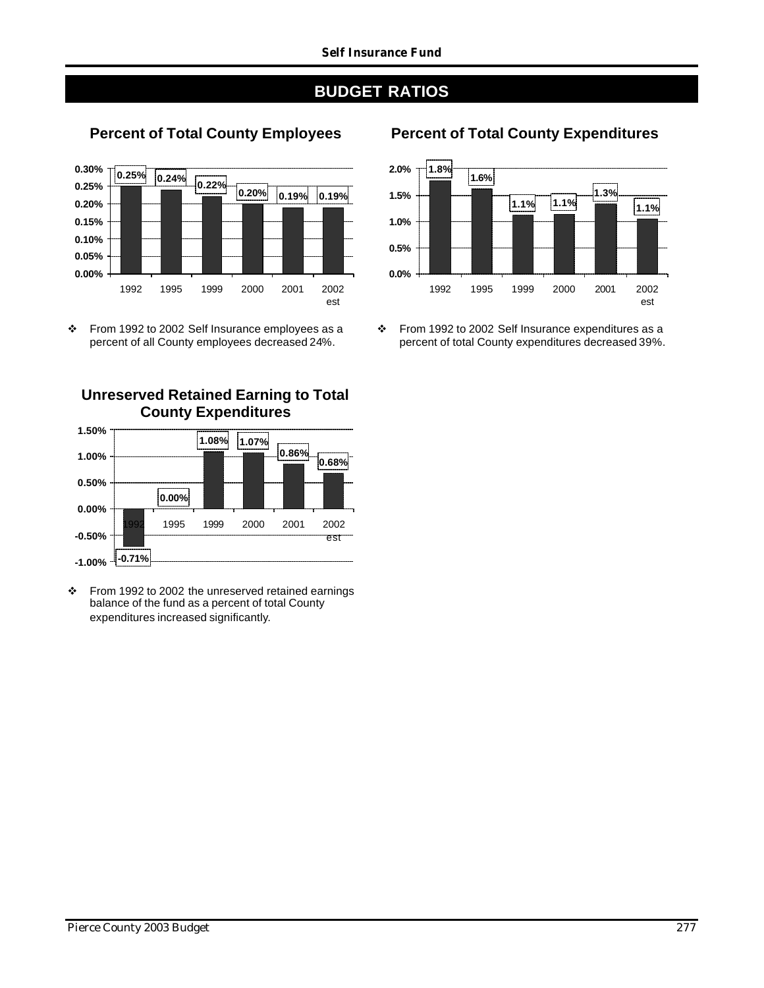

\* From 1992 to 2002 Self Insurance employees as a percent of all County employees decreased 24%.

#### **Unreserved Retained Earning to Total County Expenditures**



v From 1992 to 2002 the unreserved retained earnings balance of the fund as a percent of total County expenditures increased significantly.

## **Percent of Total County Employees Percent of Total County Expenditures**



\* From 1992 to 2002 Self Insurance expenditures as a percent of total County expenditures decreased 39%.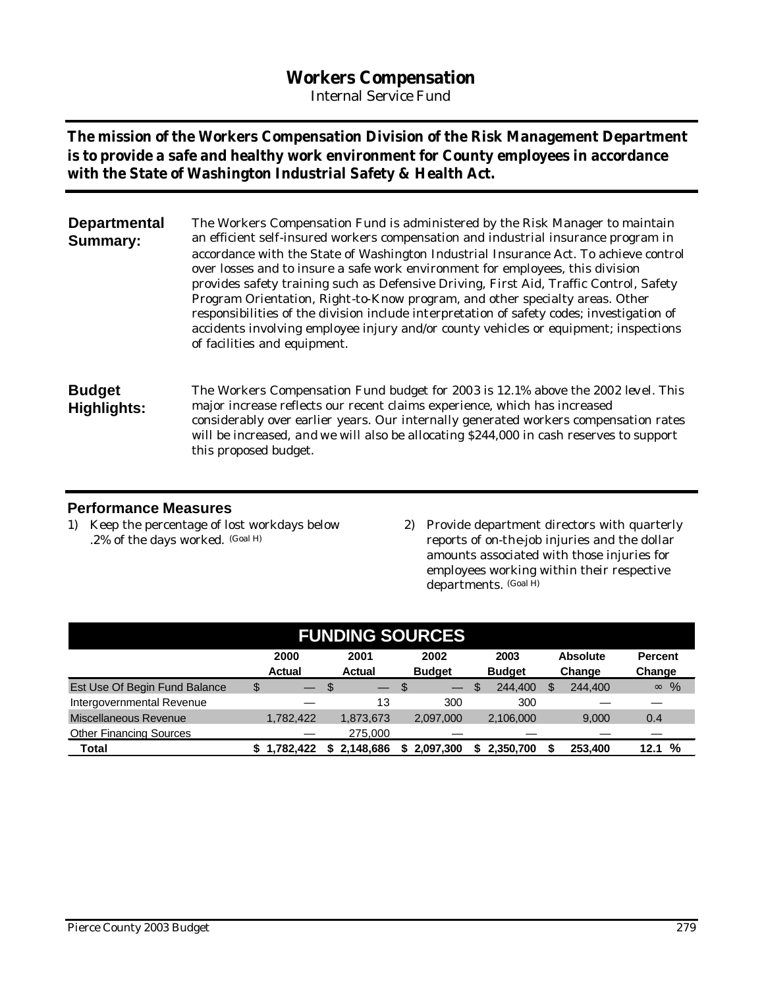## **Workers Compensation**

*Internal Service Fund*

**The mission of the Workers Compensation Division of the Risk Management Department is to provide a safe and healthy work environment for County employees in accordance with the State of Washington Industrial Safety & Health Act.**

| <b>Departmental</b> | The Workers Compensation Fund is administered by the Risk Manager to maintain             |
|---------------------|-------------------------------------------------------------------------------------------|
| <b>Summary:</b>     | an efficient self-insured workers compensation and industrial insurance program in        |
|                     | accordance with the State of Washington Industrial Insurance Act. To achieve control      |
|                     | over losses and to insure a safe work environment for employees, this division            |
|                     | provides safety training such as Defensive Driving, First Aid, Traffic Control, Safety    |
|                     | Program Orientation, Right-to-Know program, and other specialty areas. Other              |
|                     | responsibilities of the division include interpretation of safety codes; investigation of |
|                     | accidents involving employee injury and/or county vehicles or equipment; inspections      |
|                     | of facilities and equipment.                                                              |
|                     |                                                                                           |

**Budget Highlights:** The Workers Compensation Fund budget for 2003 is 12.1% above the 2002 level. This major increase reflects our recent claims experience, which has increased considerably over earlier years. Our internally generated workers compensation rates will be increased, and we will also be allocating \$244,000 in cash reserves to support this proposed budget.

#### **Performance Measures**

- 1) Keep the percentage of lost workdays below .2% of the days worked. (Goal H)
- 2) Provide department directors with quarterly reports of on-the-job injuries and the dollar amounts associated with those injuries for employees working within their respective departments. (Goal H)

| <b>FUNDING SOURCES</b>         |                       |                       |                       |                       |                           |                          |  |  |  |  |
|--------------------------------|-----------------------|-----------------------|-----------------------|-----------------------|---------------------------|--------------------------|--|--|--|--|
|                                | 2000<br><b>Actual</b> | 2001<br><b>Actual</b> | 2002<br><b>Budget</b> | 2003<br><b>Budget</b> | <b>Absolute</b><br>Change | <b>Percent</b><br>Change |  |  |  |  |
| Est Use Of Begin Fund Balance  | \$<br>—               |                       | - \$<br>$-$           | 244,400               | 244,400<br>\$             | %<br>$\infty$            |  |  |  |  |
| Intergovernmental Revenue      |                       | 13                    | 300                   | 300                   |                           |                          |  |  |  |  |
| Miscellaneous Revenue          | 1,782,422             | 1,873,673             | 2.097.000             | 2,106,000             | 9.000                     | 0.4                      |  |  |  |  |
| <b>Other Financing Sources</b> |                       | 275.000               |                       |                       |                           |                          |  |  |  |  |
| Total                          | 1.782.422<br>S        | 2,148,686<br>S.       | 2,097,300             | 2,350,700             | 253,400                   | %<br>12.1                |  |  |  |  |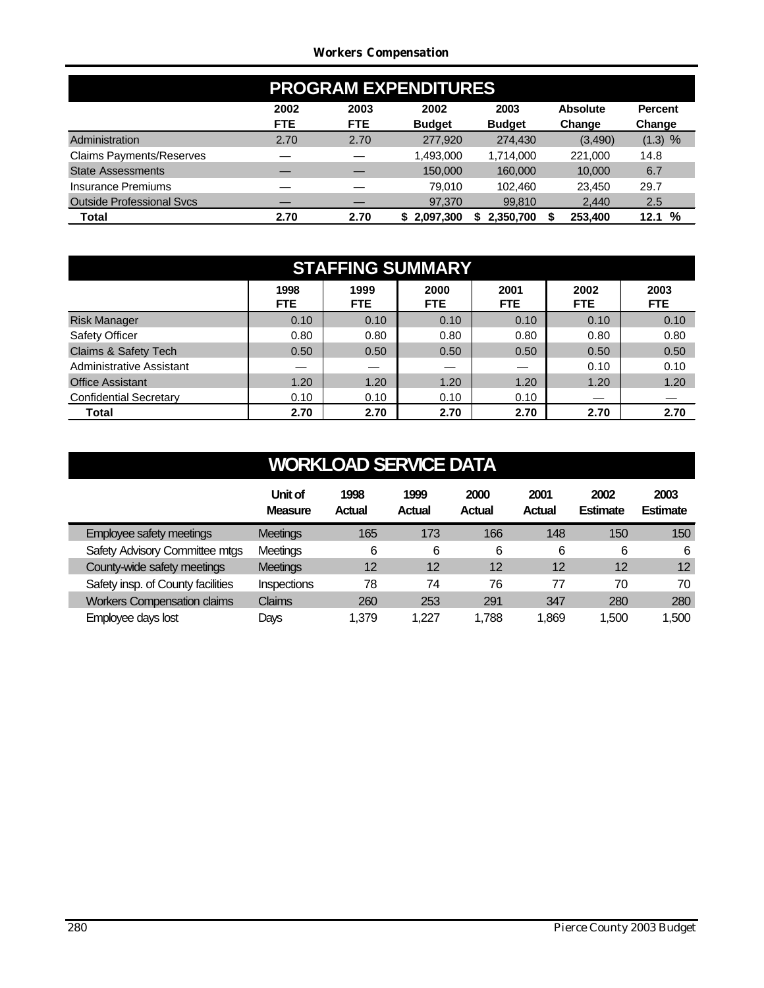#### *Workers Compensation*

|                                  | <b>PROGRAM EXPENDITURES</b> |                    |                       |                       |                           |                          |  |  |  |  |
|----------------------------------|-----------------------------|--------------------|-----------------------|-----------------------|---------------------------|--------------------------|--|--|--|--|
|                                  | 2002<br><b>FTE</b>          | 2003<br><b>FTE</b> | 2002<br><b>Budget</b> | 2003<br><b>Budget</b> | <b>Absolute</b><br>Change | <b>Percent</b><br>Change |  |  |  |  |
| Administration                   | 2.70                        | 2.70               | 277,920               | 274,430               | (3,490)                   | (1.3) %                  |  |  |  |  |
| <b>Claims Payments/Reserves</b>  |                             |                    | 1,493,000             | 1,714,000             | 221.000                   | 14.8                     |  |  |  |  |
| <b>State Assessments</b>         |                             |                    | 150,000               | 160,000               | 10,000                    | 6.7                      |  |  |  |  |
| Insurance Premiums               |                             |                    | 79.010                | 102.460               | 23,450                    | 29.7                     |  |  |  |  |
| <b>Outside Professional Sycs</b> |                             |                    | 97,370                | 99,810                | 2,440                     | 2.5                      |  |  |  |  |
| Total                            | 2.70                        | 2.70               | \$2,097,300           | 2,350,700             | 253.400                   | %<br>12.1                |  |  |  |  |

| <b>STAFFING SUMMARY</b>       |                    |                    |                    |                    |                    |                    |  |  |  |  |
|-------------------------------|--------------------|--------------------|--------------------|--------------------|--------------------|--------------------|--|--|--|--|
|                               | 1998<br><b>FTE</b> | 1999<br><b>FTE</b> | 2000<br><b>FTE</b> | 2001<br><b>FTE</b> | 2002<br><b>FTE</b> | 2003<br><b>FTE</b> |  |  |  |  |
| <b>Risk Manager</b>           | 0.10               | 0.10               | 0.10               | 0.10               | 0.10               | 0.10               |  |  |  |  |
| Safety Officer                | 0.80               | 0.80               | 0.80               | 0.80               | 0.80               | 0.80               |  |  |  |  |
| Claims & Safety Tech          | 0.50               | 0.50               | 0.50               | 0.50               | 0.50               | 0.50               |  |  |  |  |
| Administrative Assistant      |                    |                    |                    |                    | 0.10               | 0.10               |  |  |  |  |
| <b>Office Assistant</b>       | 1.20               | 1.20               | 1.20               | 1.20               | 1.20               | 1.20               |  |  |  |  |
| <b>Confidential Secretary</b> | 0.10               | 0.10               | 0.10               | 0.10               |                    |                    |  |  |  |  |
| Total                         | 2.70               | 2.70               | 2.70               | 2.70               | 2.70               | 2.70               |  |  |  |  |

|                                    | Unit of<br><b>Measure</b> | 1998<br><b>Actual</b> | 1999<br>Actual | 2000<br><b>Actual</b> | 2001<br><b>Actual</b> | 2002<br><b>Estimate</b> | 2003<br><b>Estimate</b> |
|------------------------------------|---------------------------|-----------------------|----------------|-----------------------|-----------------------|-------------------------|-------------------------|
| Employee safety meetings           | <b>Meetings</b>           | 165                   | 173            | 166                   | 148                   | 150                     | 150                     |
| Safety Advisory Committee mtgs     | Meetings                  | 6                     | 6              | 6                     | 6                     | 6                       | 6                       |
| County-wide safety meetings        | <b>Meetings</b>           | 12                    | 12             | 12                    | 12                    | 12                      | 12                      |
| Safety insp. of County facilities  | Inspections               | 78                    | 74             | 76                    | 77                    | 70                      | 70                      |
| <b>Workers Compensation claims</b> | Claims                    | 260                   | 253            | 291                   | 347                   | 280                     | 280                     |
| Employee days lost                 | Days                      | 1.379                 | 1.227          | 1.788                 | 1.869                 | 1,500                   | 1,500                   |